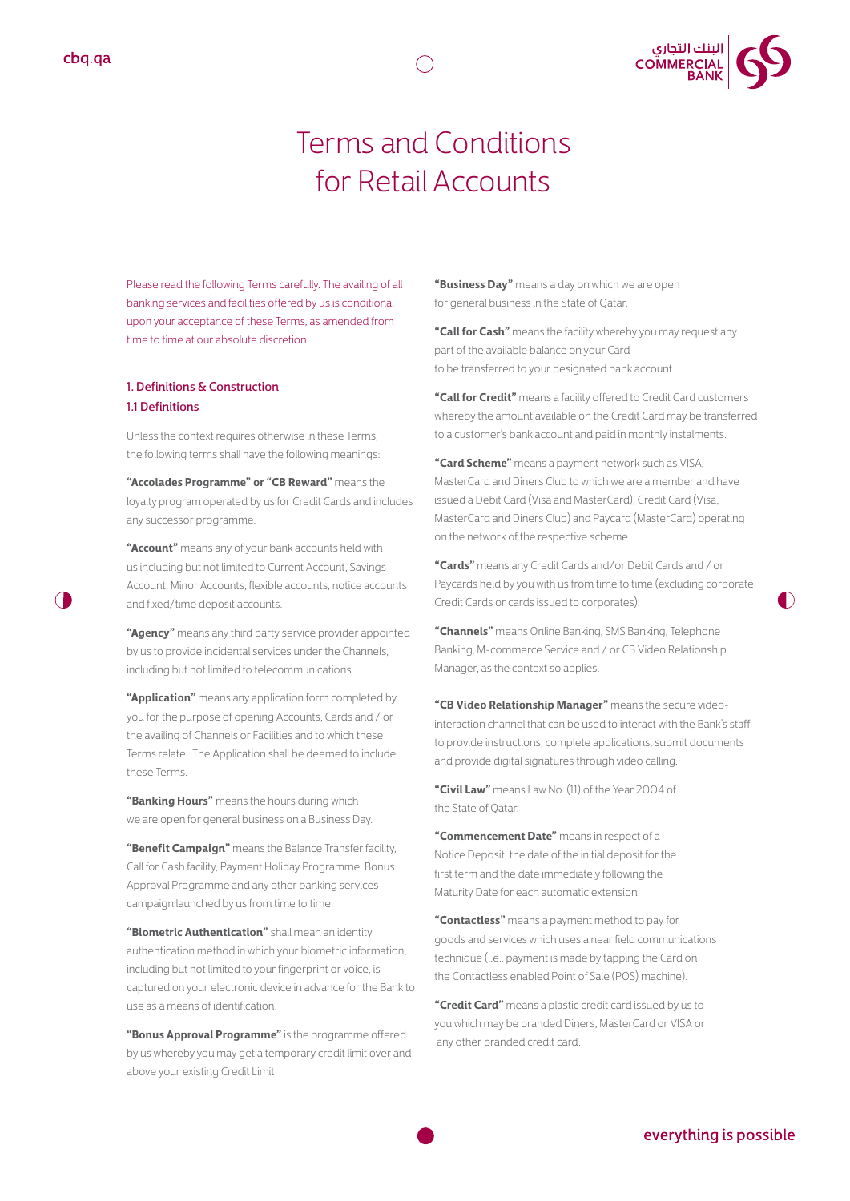

# Terms and Conditions for Retail Accounts

Please read the following Terms carefully. The availing of all banking services and facilities offered by us is conditional upon your acceptance of these Terms, as amended from time to time at our absolute discretion.

### 1. Definitions & Construction 1.1 Definitions

Unless the context requires otherwise in these Terms, the following terms shall have the following meanings:

**"Accolades Programme" or "CB Reward"** means the loyalty program operated by us for Credit Cards and includes any successor programme.

**"Account"** means any of your bank accounts held with us including but not limited to Current Account, Savings Account, Minor Accounts, flexible accounts, notice accounts and fixed/time deposit accounts.

**"Agency"** means any third party service provider appointed by us to provide incidental services under the Channels, including but not limited to telecommunications.

**"Application"** means any application form completed by you for the purpose of opening Accounts, Cards and / or the availing of Channels or Facilities and to which these Terms relate. The Application shall be deemed to include these Terms.

**"Banking Hours"** means the hours during which we are open for general business on a Business Day.

**"Benefit Campaign"** means the Balance Transfer facility, Call for Cash facility, Payment Holiday Programme, Bonus Approval Programme and any other banking services campaign launched by us from time to time.

**"Biometric Authentication"** shall mean an identity authentication method in which your biometric information, including but not limited to your fingerprint or voice, is captured on your electronic device in advance for the Bank to use as a means of identification.

**"Bonus Approval Programme"** is the programme offered by us whereby you may get a temporary credit limit over and above your existing Credit Limit.

**"Business Day"** means a day on which we are open for general business in the State of Qatar.

**"Call for Cash"** means the facility whereby you may request any part of the available balance on your Card to be transferred to your designated bank account.

**"Call for Credit"** means a facility offered to Credit Card customers whereby the amount available on the Credit Card may be transferred to a customer's bank account and paid in monthly instalments.

**"Card Scheme"** means a payment network such as VISA, MasterCard and Diners Club to which we are a member and have issued a Debit Card (Visa and MasterCard), Credit Card (Visa, MasterCard and Diners Club) and Paycard (MasterCard) operating on the network of the respective scheme.

**"Cards"** means any Credit Cards and/or Debit Cards and / or Paycards held by you with us from time to time (excluding corporate Credit Cards or cards issued to corporates).

**"Channels"** means Online Banking, SMS Banking, Telephone Banking, M-commerce Service and / or CB Video Relationship Manager, as the context so applies.

**"CB Video Relationship Manager"** means the secure videointeraction channel that can be used to interact with the Bank's staff to provide instructions, complete applications, submit documents and provide digital signatures through video calling.

**"Civil Law"** means Law No. (11) of the Year 2004 of the State of Qatar.

**"Commencement Date"** means in respect of a Notice Deposit, the date of the initial deposit for the first term and the date immediately following the Maturity Date for each automatic extension.

**"Contactless"** means a payment method to pay for goods and services which uses a near field communications technique (i.e., payment is made by tapping the Card on the Contactless enabled Point of Sale (POS) machine).

**"Credit Card"** means a plastic credit card issued by us to you which may be branded Diners, MasterCard or VISA or any other branded credit card.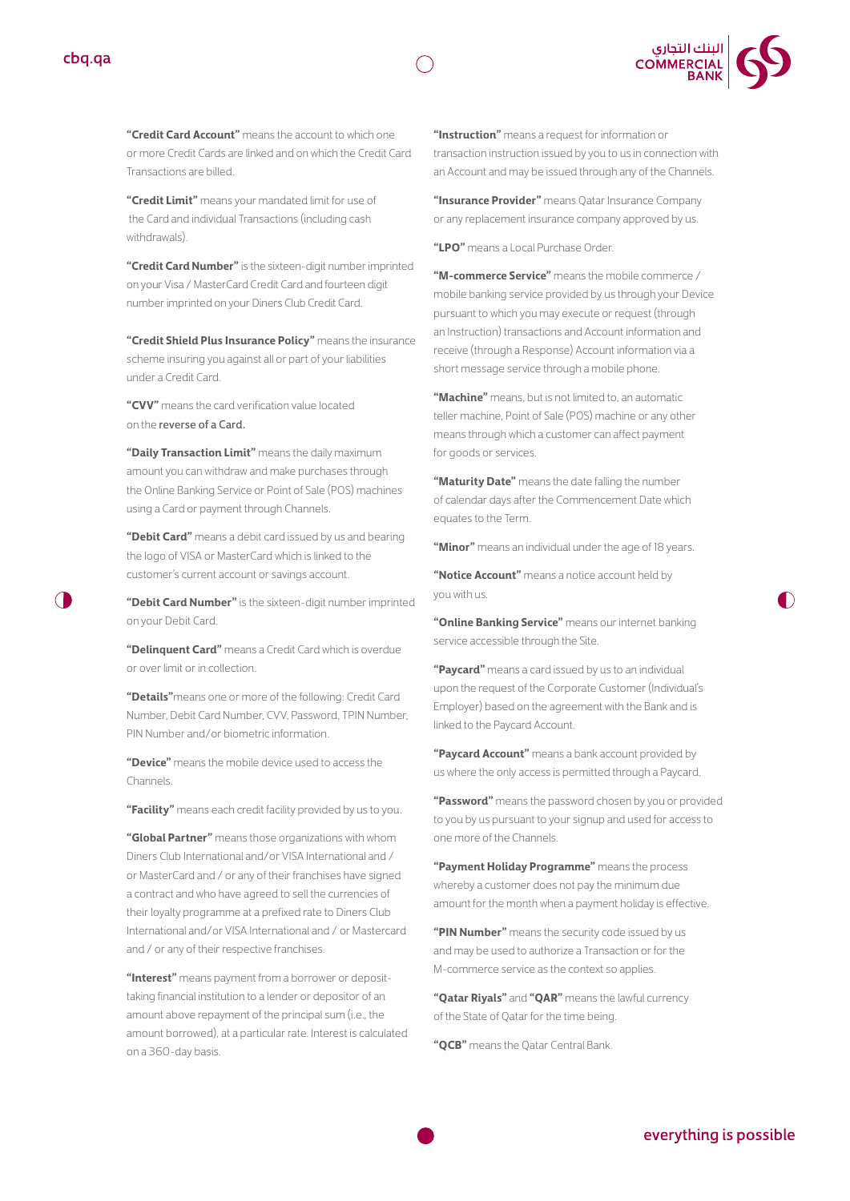



**"Credit Card Account"** means the account to which one or more Credit Cards are linked and on which the Credit Card Transactions are billed.

**"Credit Limit"** means your mandated limit for use of the Card and individual Transactions (including cash withdrawals).

**"Credit Card Number"** is the sixteen-digit number imprinted on your Visa / MasterCard Credit Card and fourteen digit number imprinted on your Diners Club Credit Card.

**"Credit Shield Plus Insurance Policy"** means the insurance scheme insuring you against all or part of your liabilities under a Credit Card.

**"CVV"** means the card verification value located on the reverse of a Card.

**"DailyTransactionLimit"** means the daily maximum amount you can withdraw and make purchases through the Online Banking Service or Point of Sale (POS) machines using a Card or payment through Channels.

**"Debit Card"** means a debit card issued by us and bearing the logo of VISA or MasterCard which is linked to the customer's current account or savings account.

**"Debit Card Number"** is the sixteen-digit number imprinted on your Debit Card.

**"Delinquent Card"** means a Credit Card which is overdue or over limit or in collection.

**"Details"**means one or more of the following: Credit Card Number, Debit Card Number, CVV, Password, TPIN Number, PIN Number and/or biometric information.

**"Device"** means the mobile device used to access the Channels.

**"Facility"** means each credit facility provided by us to you.

**"Global Partner"** means those organizations with whom Diners Club International and/or VISA International and / or MasterCard and / or any of their franchises have signed a contract and who have agreed to sell the currencies of their loyalty programme at a prefixed rate to Diners Club International and/or VISA International and / or Mastercard and / or any of their respective franchises.

**"Interest"** means payment from a borrower or deposittaking financial institution to a lender or depositor of an amount above repayment of the principal sum (i.e., the amount borrowed), at a particular rate. Interest is calculated on a 360-day basis.

**"Instruction"** means a request for information or transaction instruction issued by you to us in connection with an Account and may be issued through any of the Channels.

**"Insurance Provider"** means Qatar Insurance Company or any replacement insurance company approved by us.

**"LPO"** means a Local Purchase Order.

**"M-commerce Service"** means the mobile commerce / mobile banking service provided by us through your Device pursuant to which you may execute or request (through an Instruction) transactions and Account information and receive (through a Response) Account information via a short message service through a mobile phone.

**"Machine"** means, but is not limited to, an automatic teller machine, Point of Sale (POS) machine or any other means through which a customer can affect payment for goods or services.

**"Maturity Date"** means the date falling the number of calendar days after the Commencement Date which equates to the Term.

**"Minor"** means an individual under the age of 18 years.

**"Notice Account"** means a notice account held by you with us.

"Online **Banking Service**" means our internet banking service accessible through the Site.

**"Paycard"** means a card issued by us to an individual upon the request of the Corporate Customer (Individual's Employer) based on the agreement with the Bank and is linked to the Paycard Account.

**"Paycard Account"** means a bank account provided by us where the only access is permitted through a Paycard.

**"Password"** means the password chosen by you or provided to you by us pursuant to your signup and used for access to one more of the Channels.

**"Payment Holiday Programme"** means the process whereby a customer does not pay the minimum due amount for the month when a payment holiday is effective.

**"PIN Number"** means the security code issued by us and may be used to authorize a Transaction or for the M-commerce service as the context so applies.

**"Qatar Riyals"** and **"QAR"** means the lawful currency of the State of Qatar for the time being.

**"QCB"** means the Qatar Central Bank.

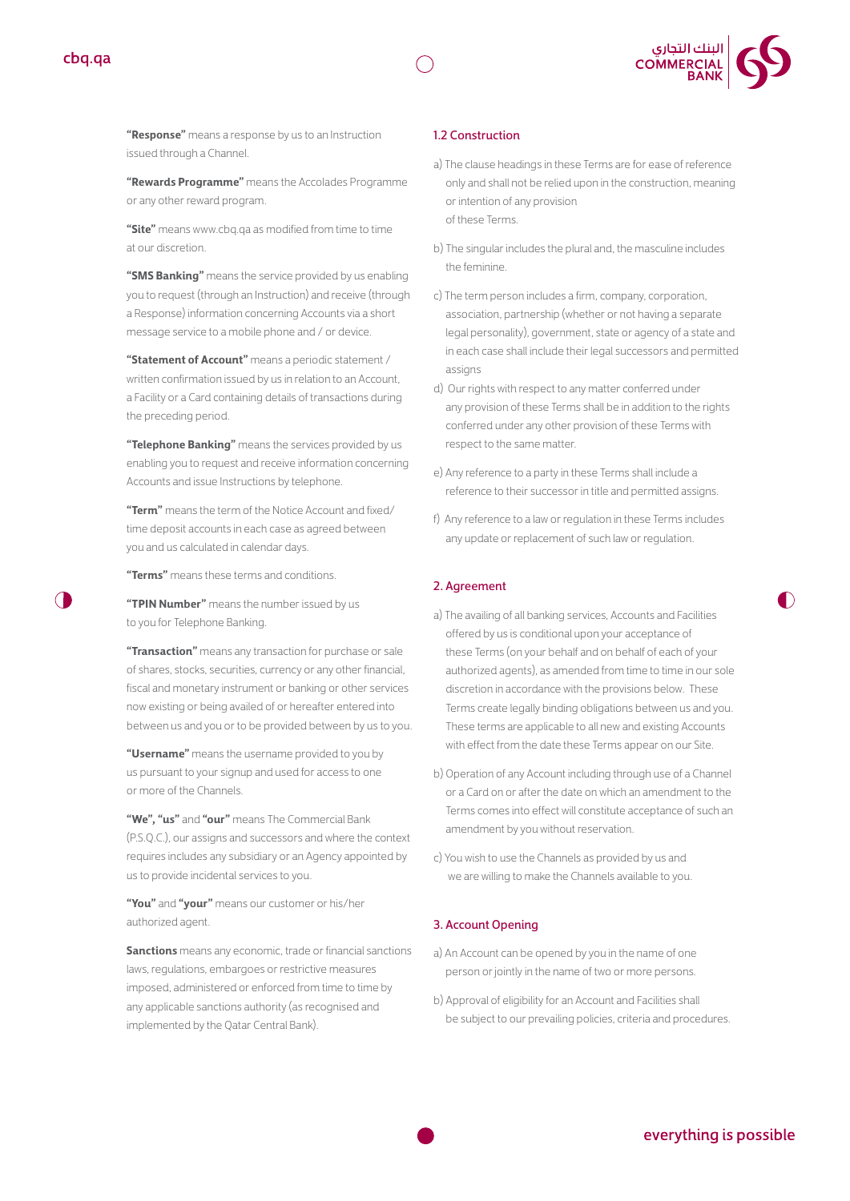



**"Rewards Programme"** means the Accolades Programme or any other reward program.

**"Site"** means www.cbq.qa as modified from time to time at our discretion.

**"SMS Banking"** means the service provided by us enabling you to request (through an Instruction) and receive (through a Response) information concerning Accounts via a short message service to a mobile phone and / or device.

**"Statement of Account"** means a periodic statement / written confirmation issued by us in relation to an Account, a Facility or a Card containing details of transactions during the preceding period.

**"Telephone Banking"** means the services provided by us enabling you to request and receive information concerning Accounts and issue Instructions by telephone.

**"Term"** means the term of the Notice Account and fixed/ time deposit accounts in each case as agreed between you and us calculated in calendar days.

**"Terms"** means these terms and conditions.

**"TPIN Number"** means the number issued by us to you for Telephone Banking.

**"Transaction"** means any transaction for purchase or sale of shares, stocks, securities, currency or any other financial, fiscal and monetary instrument or banking or other services now existing or being availed of or hereafter entered into between us and you or to be provided between by us to you.

**"Username"** means the username provided to you by us pursuant to your signup and used for access to one or more of the Channels.

**"We","us"** and **"our"** means The Commercial Bank (P.S.Q.C.), our assigns and successors and where the context requires includes any subsidiary or an Agency appointed by us to provide incidental services to you.

**"You"** and **"your"** means our customer or his/her authorized agent.

**Sanctions** means any economic, trade or financial sanctions laws, regulations, embargoes or restrictive measures imposed, administered or enforced from time to time by any applicable sanctions authority (as recognised and implemented by the Qatar Central Bank).

#### 1.2 Construction

- a) The clause headings in these Terms are for ease of reference only and shall not be relied upon in the construction, meaning or intention of any provision of these Terms.
- b) The singular includes the plural and, the masculine includes the feminine.
- c) The term person includes a firm, company, corporation, association, partnership (whether or not having a separate legal personality), government, state or agency of a state and in each case shall include their legal successors and permitted assigns
- d) Our rights with respect to any matter conferred under any provision of these Terms shall be in addition to the rights conferred under any other provision of these Terms with respect to the same matter.
- e) Any reference to a party in these Terms shall include a reference to their successor in title and permitted assigns.
- f) Any reference to a law or regulation in these Terms includes any update or replacement of such law or regulation.

#### 2. Agreement

- a) The availing of all banking services, Accounts and Facilities offered by us is conditional upon your acceptance of these Terms (on your behalf and on behalf of each of your authorized agents), as amended from time to time in our sole discretion in accordance with the provisions below. These Terms create legally binding obligations between us and you. These terms are applicable to all new and existing Accounts with effect from the date these Terms appear on our Site.
- b) Operation of any Account including through use of a Channel or a Card on or after the date on which an amendment to the Terms comes into effect will constitute acceptance of such an amendment by you without reservation.
- c) You wish to use the Channels as provided by us and we are willing to make the Channels available to you.

#### 3. Account Opening

- a) An Account can be opened by you in the name of one person or jointly in the name of two or more persons.
- b) Approval of eligibility for an Account and Facilities shall be subject to our prevailing policies, criteria and procedures.



 $\bigcap$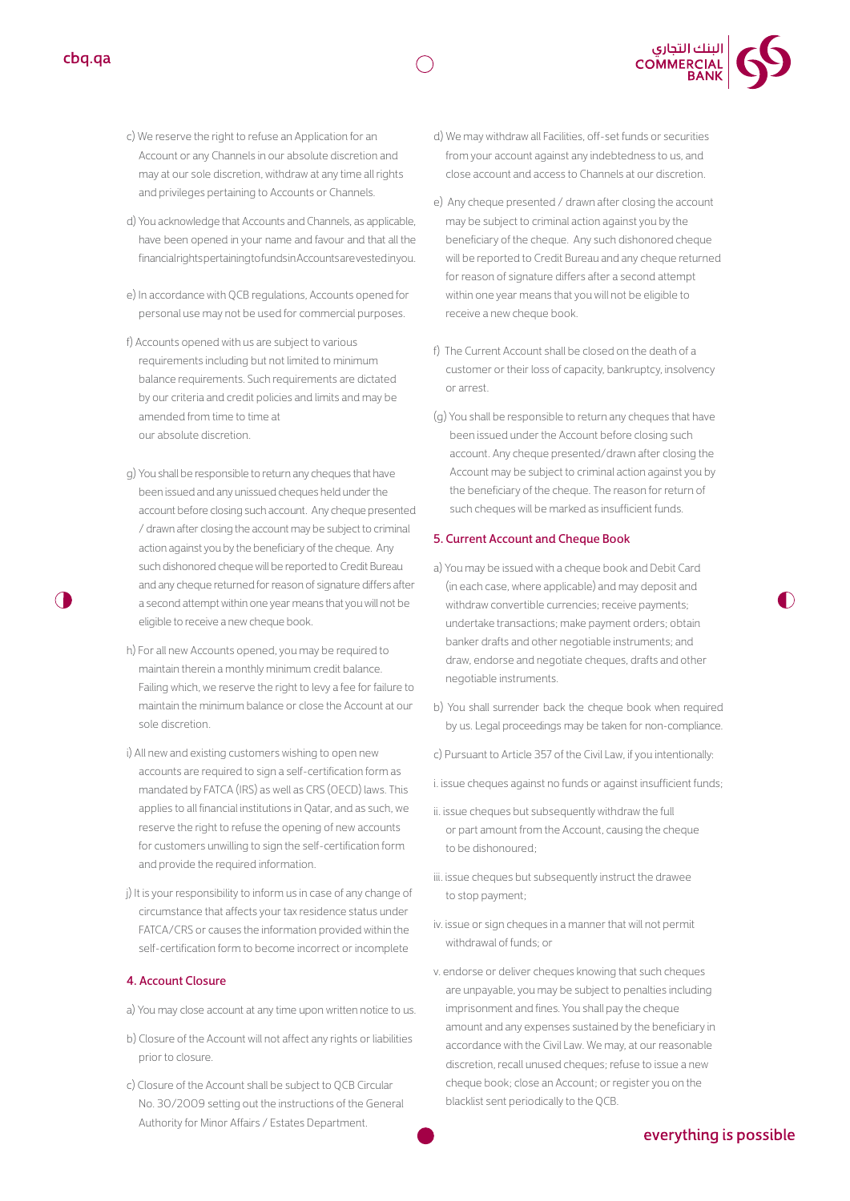



- c) We reserve the right to refuse an Application for an Account or any Channels in our absolute discretion and may at our sole discretion, withdraw at any time all rights and privileges pertaining to Accounts or Channels.
- d) You acknowledge that Accounts and Channels, as applicable, have been opened in your name and favour and that all the financial rights pertaining to funds in Accounts are vested in you.
- e) In accordance with QCB regulations, Accounts opened for personal use may not be used for commercial purposes.
- f) Accounts opened with us are subject to various requirements including but not limited to minimum balance requirements. Such requirements are dictated by our criteria and credit policies and limits and may be amended from time to time at our absolute discretion.
- g) You shall be responsible to return any cheques that have been issued and any unissued cheques held under the account before closing such account. Any cheque presented / drawn after closing the account may be subject to criminal action against you by the beneficiary of the cheque. Any such dishonored cheque will be reported to Credit Bureau and any cheque returned for reason of signature differs after a second attempt within one year means that you will not be eligible to receive a new cheque book.
- h) For all new Accounts opened, you may be required to maintain therein a monthly minimum credit balance. Failing which, we reserve the right to levy a fee for failure to maintain the minimum balance or close the Account at our sole discretion.
- i) All new and existing customers wishing to open new accounts are required to sign a self-certification form as mandated by FATCA (IRS) as well as CRS (OECD) laws. This applies to all financial institutions in Qatar, and as such, we reserve the right to refuse the opening of new accounts for customers unwilling to sign the self-certification form and provide the required information.
- j) It is your responsibility to inform us in case of any change of circumstance that affects your tax residence status under FATCA/CRS or causes the information provided within the self-certification form to become incorrect or incomplete

#### 4. Account Closure

- a) You may close account at any time upon written notice to us.
- b) Closure of the Account will not affect any rights or liabilities prior to closure.
- c) Closure of the Account shall be subject to QCB Circular No. 30/2009 setting out the instructions of the General Authority for Minor Affairs / Estates Department.
- d) We may withdraw all Facilities, off-set funds or securities from your account against any indebtedness to us, and close account and access to Channels at our discretion.
- e) Any cheque presented / drawn after closing the account may be subject to criminal action against you by the beneficiary of the cheque. Any such dishonored cheque will be reported to Credit Bureau and any cheque returned for reason of signature differs after a second attempt within one year means that you will not be eligible to receive a new cheque book.
- f) The Current Account shall be closed on the death of a customer or their loss of capacity, bankruptcy, insolvency or arrest.
- (g) You shall be responsible to return any cheques that have been issued under the Account before closing such account. Any cheque presented/drawn after closing the Account may be subject to criminal action against you by the beneficiary of the cheque. The reason for return of such cheques will be marked as insufficient funds.

#### 5. Current Account and Cheque Book

- a) You may be issued with a cheque book and Debit Card (in each case, where applicable) and may deposit and withdraw convertible currencies; receive payments; undertake transactions; make payment orders; obtain banker drafts and other negotiable instruments; and draw, endorse and negotiate cheques, drafts and other negotiable instruments.
- b) You shall surrender back the cheque book when required by us. Legal proceedings may be taken for non-compliance.
- c) Pursuant to Article 357 of the Civil Law, if you intentionally:
- i. issue cheques against no funds or against insufficient funds;
- ii. issue cheques but subsequently withdraw the full or part amount from the Account, causing the cheque to be dishonoured;
- iii. issue cheques but subsequently instruct the drawee to stop payment;
- iv. issue or sign cheques in a manner that will not permit withdrawal of funds; or
- v. endorse or deliver cheques knowing that such cheques are unpayable, you may be subject to penalties including imprisonment and fines. You shall pay the cheque amount and any expenses sustained by the beneficiary in accordance with the Civil Law. We may, at our reasonable discretion, recall unused cheques; refuse to issue a new cheque book; close an Account; or register you on the blacklist sent periodically to the QCB.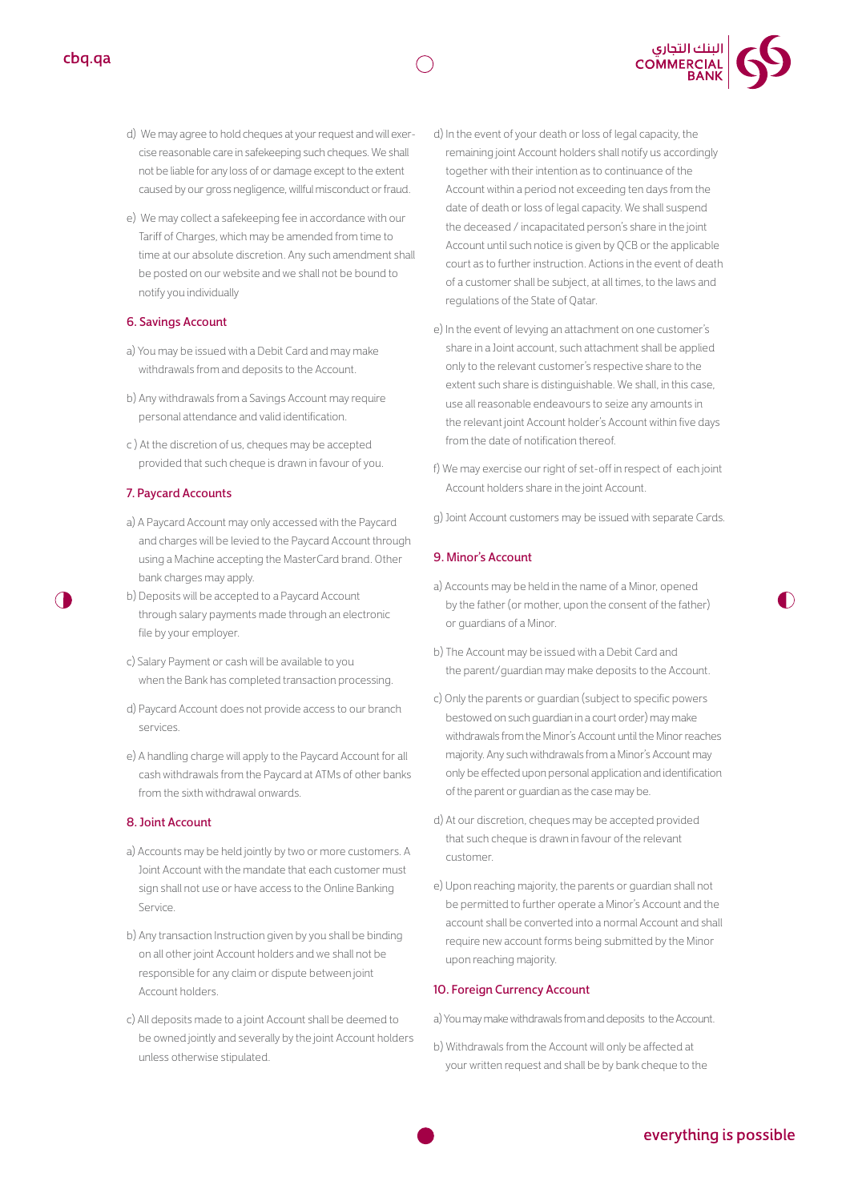

e) We may collect a safekeeping fee in accordance with our Tariff of Charges, which may be amended from time to time at our absolute discretion. Any such amendment shall be posted on our website and we shall not be bound to notify you individually

#### 6. Savings Account

- a) You may be issued with a Debit Card and may make withdrawals from and deposits to the Account.
- b) Any withdrawals from a Savings Account may require personal attendance and valid identification.
- c ) At the discretion of us, cheques may be accepted provided that such cheque is drawn in favour of you.

#### 7. Paycard Accounts

- a) A Paycard Account may only accessed with the Paycard and charges will be levied to the Paycard Account through using a Machine accepting the MasterCard brand. Other bank charges may apply.
- b) Deposits will be accepted to a Paycard Account through salary payments made through an electronic file by your employer.
- c) Salary Payment or cash will be available to you when the Bank has completed transaction processing.
- d) Paycard Account does not provide access to our branch services.
- e) A handling charge will apply to the Paycard Account for all cash withdrawals from the Paycard at ATMs of other banks from the sixth withdrawal onwards.

#### 8. Joint Account

- a) Accounts may be held jointly by two or more customers. A Joint Account with the mandate that each customer must sign shall not use or have access to the Online Banking Service.
- b) Any transaction Instruction given by you shall be binding on all other joint Account holders and we shall not be responsible for any claim or dispute between joint Account holders.
- c) All deposits made to a joint Account shall be deemed to be owned jointly and severally by the joint Account holders unless otherwise stipulated.
- d) In the event of your death or loss of legal capacity, the remaining joint Account holders shall notify us accordingly together with their intention as to continuance of the Account within a period not exceeding ten days from the date of death or loss of legal capacity. We shall suspend the deceased / incapacitated person's share in the joint Account until such notice is given by QCB or the applicable court as to further instruction. Actions in the event of death of a customer shall be subject, at all times, to the laws and regulations of the State of Qatar.
- e) In the event of levying an attachment on one customer's share in a Joint account, such attachment shall be applied only to the relevant customer's respective share to the extent such share is distinguishable. We shall, in this case, use all reasonable endeavours to seize any amounts in the relevant joint Account holder's Account within five days from the date of notification thereof.
- f) We may exercise our right of set-off in respect of each joint Account holders share in the joint Account.
- g) Joint Account customers may be issued with separate Cards.

#### 9. Minor's Account

- a) Accounts may be held in the name of a Minor, opened by the father (or mother, upon the consent of the father) or guardians of a Minor.
- b) The Account may be issued with a Debit Card and the parent/guardian may make deposits to the Account.
- c) Only the parents or guardian (subject to specific powers bestowed on such guardian in a court order) may make withdrawals from the Minor's Account until the Minor reaches majority. Any such withdrawals from a Minor's Account may only be effected upon personal application and identification of the parent or guardian as the case may be.
- d) At our discretion, cheques may be accepted provided that such cheque is drawn in favour of the relevant customer.
- e) Upon reaching majority, the parents or guardian shall not be permitted to further operate a Minor's Account and the account shall be converted into a normal Account and shall require new account forms being submitted by the Minor upon reaching majority.

#### 10. Foreign Currency Account

a) You may make withdrawals from and deposits to the Account.

b) Withdrawals from the Account will only be affected at your written request and shall be by bank cheque to the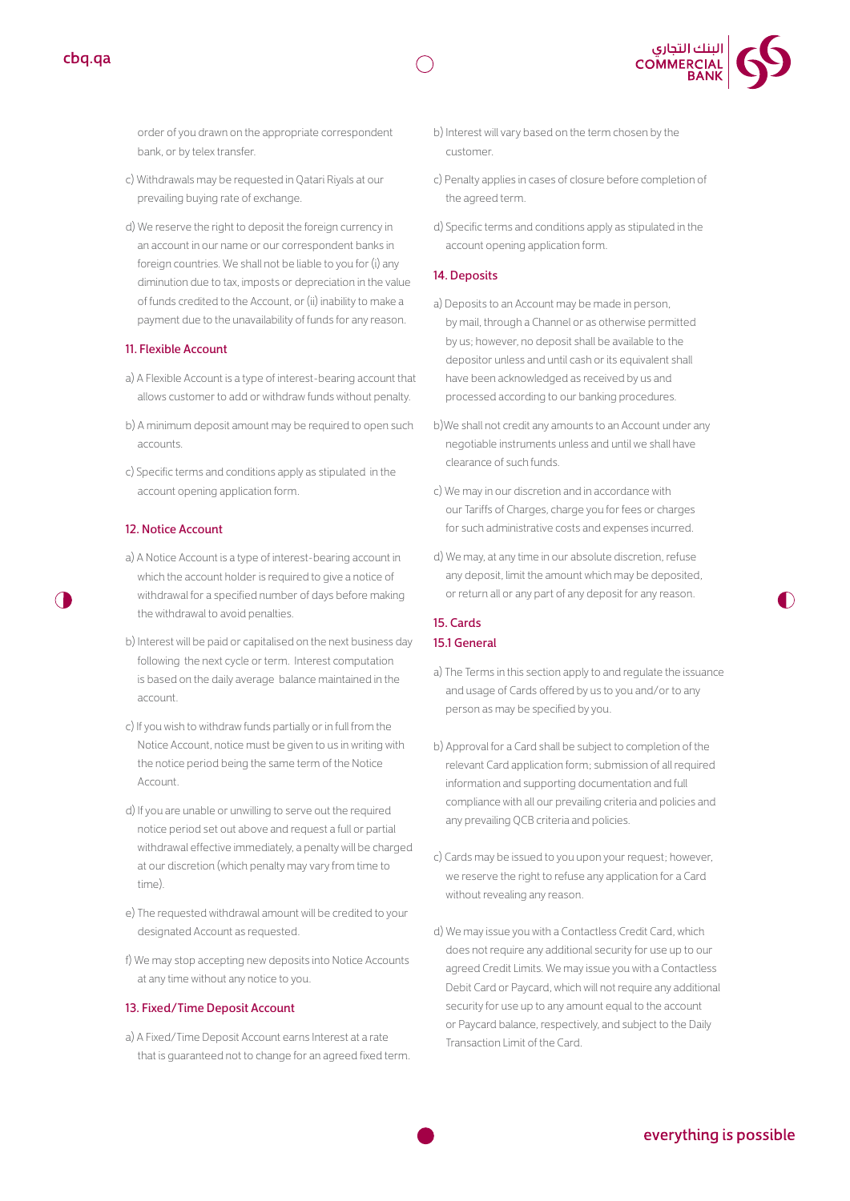



order of you drawn on the appropriate correspondent bank, or by telex transfer.

- c) Withdrawals may be requested in Qatari Riyals at our prevailing buying rate of exchange.
- d) We reserve the right to deposit the foreign currency in an account in our name or our correspondent banks in foreign countries. We shall not be liable to you for (i) any diminution due to tax, imposts or depreciation in the value of funds credited to the Account, or (ii) inability to make a payment due to the unavailability of funds for any reason.

#### 11. Flexible Account

- a) A Flexible Account is a type of interest-bearing account that allows customer to add or withdraw funds without penalty.
- b) A minimum deposit amount may be required to open such accounts.
- c) Specific terms and conditions apply as stipulated in the account opening application form.

#### 12. Notice Account

- a) A Notice Account is a type of interest-bearing account in which the account holder is required to give a notice of withdrawal for a specified number of days before making the withdrawal to avoid penalties.
- b) Interest will be paid or capitalised on the next business day following the next cycle or term. Interest computation is based on the daily average balance maintained in the account.
- c) If you wish to withdraw funds partially or in full from the Notice Account, notice must be given to us in writing with the notice period being the same term of the Notice Account.
- d) If you are unable or unwilling to serve out the required notice period set out above and request a full or partial withdrawal effective immediately, a penalty will be charged at our discretion (which penalty may vary from time to time).
- e) The requested withdrawal amount will be credited to your designated Account as requested.
- f) We may stop accepting new deposits into Notice Accounts at any time without any notice to you.

#### 13. Fixed/Time Deposit Account

a) A Fixed/Time Deposit Account earns Interest at a rate that is guaranteed not to change for an agreed fixed term.

- b) Interest will vary based on the term chosen by the customer.
- c) Penalty applies in cases of closure before completion of the agreed term.
- d) Specific terms and conditions apply as stipulated in the account opening application form.

#### 14. Deposits

- a) Deposits to an Account may be made in person, by mail, through a Channel or as otherwise permitted by us; however, no deposit shall be available to the depositor unless and until cash or its equivalent shall have been acknowledged as received by us and processed according to our banking procedures.
- b)We shall not credit any amounts to an Account under any negotiable instruments unless and until we shall have clearance of such funds.
- c) We may in our discretion and in accordance with our Tariffs of Charges, charge you for fees or charges for such administrative costs and expenses incurred.
- d) We may, at any time in our absolute discretion, refuse any deposit, limit the amount which may be deposited, or return all or any part of any deposit for any reason.

#### 15. Cards 15.1 General

- a) The Terms in this section apply to and regulate the issuance and usage of Cards offered by us to you and/or to any person as may be specified by you.
- b) Approval for a Card shall be subject to completion of the relevant Card application form; submission of all required information and supporting documentation and full compliance with all our prevailing criteria and policies and any prevailing QCB criteria and policies.
- c) Cards may be issued to you upon your request; however, we reserve the right to refuse any application for a Card without revealing any reason.
- d) We may issue you with a Contactless Credit Card, which does not require any additional security for use up to our agreed Credit Limits. We may issue you with a Contactless Debit Card or Paycard, which will not require any additional security for use up to any amount equal to the account or Paycard balance, respectively, and subject to the Daily Transaction Limit of the Card.

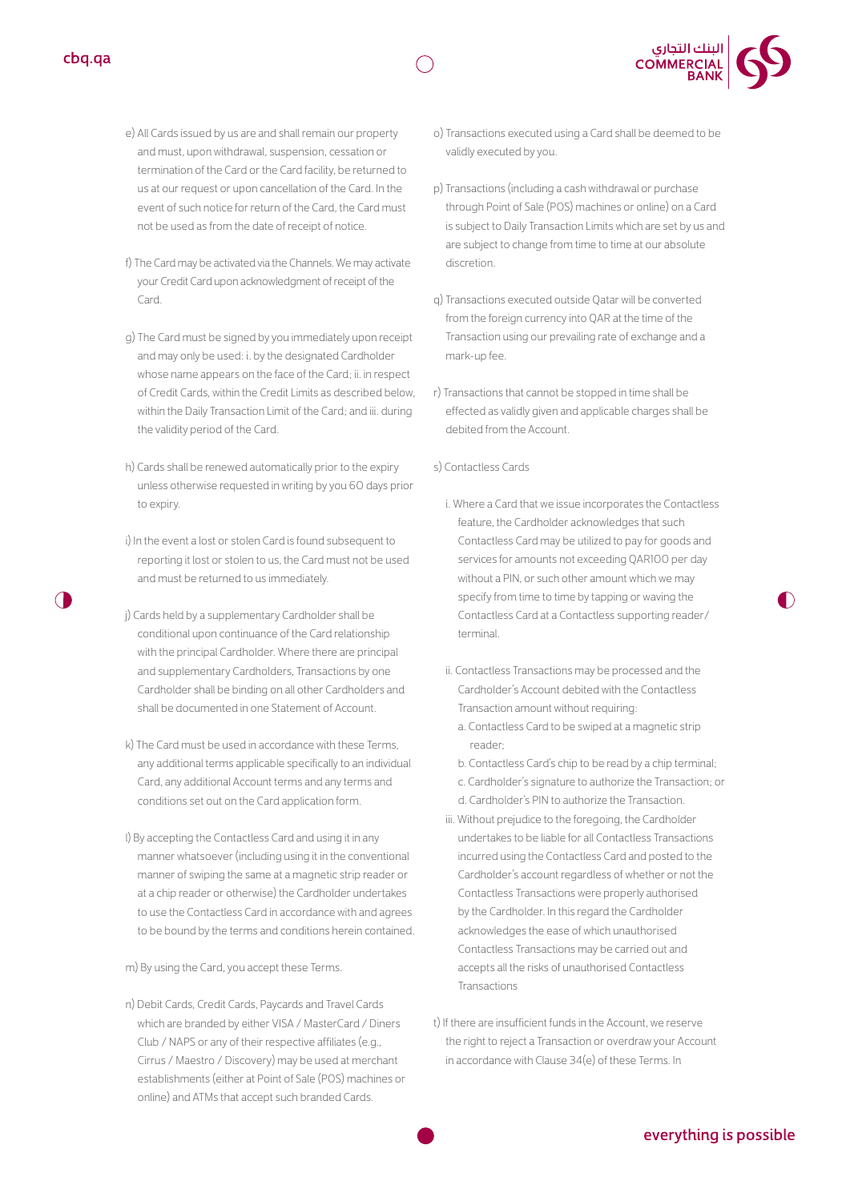- e) All Cards issued by us are and shall remain our property and must, upon withdrawal, suspension, cessation or termination of the Card or the Card facility, be returned to us at our request or upon cancellation of the Card. In the event of such notice for return of the Card, the Card must not be used as from the date of receipt of notice.
- f) The Card may be activated via the Channels. We may activate your Credit Card upon acknowledgment of receipt of the Card.
- g) The Card must be signed by you immediately upon receipt and may only be used: i. by the designated Cardholder whose name appears on the face of the Card; ii. in respect of Credit Cards, within the Credit Limits as described below, within the Daily Transaction Limit of the Card; and iii. during the validity period of the Card.
- h) Cards shall be renewed automatically prior to the expiry unless otherwise requested in writing by you 60 days prior to expiry.
- i) In the event a lost or stolen Card is found subsequent to reporting it lost or stolen to us, the Card must not be used and must be returned to us immediately.
- j) Cards held by a supplementary Cardholder shall be conditional upon continuance of the Card relationship with the principal Cardholder. Where there are principal and supplementary Cardholders, Transactions by one Cardholder shall be binding on all other Cardholders and shall be documented in one Statement of Account.
- k) The Card must be used in accordance with these Terms any additional terms applicable specifically to an individual Card, any additional Account terms and any terms and conditions set out on the Card application form.
- l) By accepting the Contactless Card and using it in any manner whatsoever (including using it in the conventional manner of swiping the same at a magnetic strip reader or at a chip reader or otherwise) the Cardholder undertakes to use the Contactless Card in accordance with and agrees to be bound by the terms and conditions herein contained.
- m) By using the Card, you accept these Terms.
- n) Debit Cards, Credit Cards, Paycards and Travel Cards which are branded by either VISA / MasterCard / Diners Club / NAPS or any of their respective affiliates (e.g., Cirrus / Maestro / Discovery) may be used at merchant establishments (either at Point of Sale (POS) machines or online) and ATMs that accept such branded Cards.

o) Transactions executed using a Card shall be deemed to be validly executed by you.

| البنك التجاري<br>| COMMERCIAL<br>| BANK

- p) Transactions (including a cash withdrawal or purchase through Point of Sale (POS) machines or online) on a Card is subject to Daily Transaction Limits which are set by us and are subject to change from time to time at our absolute discretion.
- q) Transactions executed outside Qatar will be converted from the foreign currency into QAR at the time of the Transaction using our prevailing rate of exchange and a mark-up fee.
- r) Transactions that cannot be stopped in time shall be effected as validly given and applicable charges shall be debited from the Account.
- s) Contactless Cards
	- i. Where a Card that we issue incorporates the Contactless feature, the Cardholder acknowledges that such Contactless Card may be utilized to pay for goods and services for amounts not exceeding QAR100 per day without a PIN, or such other amount which we may specify from time to time by tapping or waving the Contactless Card at a Contactless supporting reader/ terminal.
	- ii. Contactless Transactions may be processed and the Cardholder's Account debited with the Contactless Transaction amount without requiring:
		- a. Contactless Card to be swiped at a magnetic strip reader;
		- b. Contactless Card's chip to be read by a chip terminal;
		- c. Cardholder's signature to authorize the Transaction; or
		- d. Cardholder's PIN to authorize the Transaction.
	- iii. Without prejudice to the foregoing, the Cardholder undertakes to be liable for all Contactless Transactions incurred using the Contactless Card and posted to the Cardholder's account regardless of whether or not the Contactless Transactions were properly authorised by the Cardholder. In this regard the Cardholder acknowledges the ease of which unauthorised Contactless Transactions may be carried out and accepts all the risks of unauthorised Contactless Transactions
- t) If there are insufficient funds in the Account, we reserve the right to reject a Transaction or overdraw your Account in accordance with Clause 34(e) of these Terms. In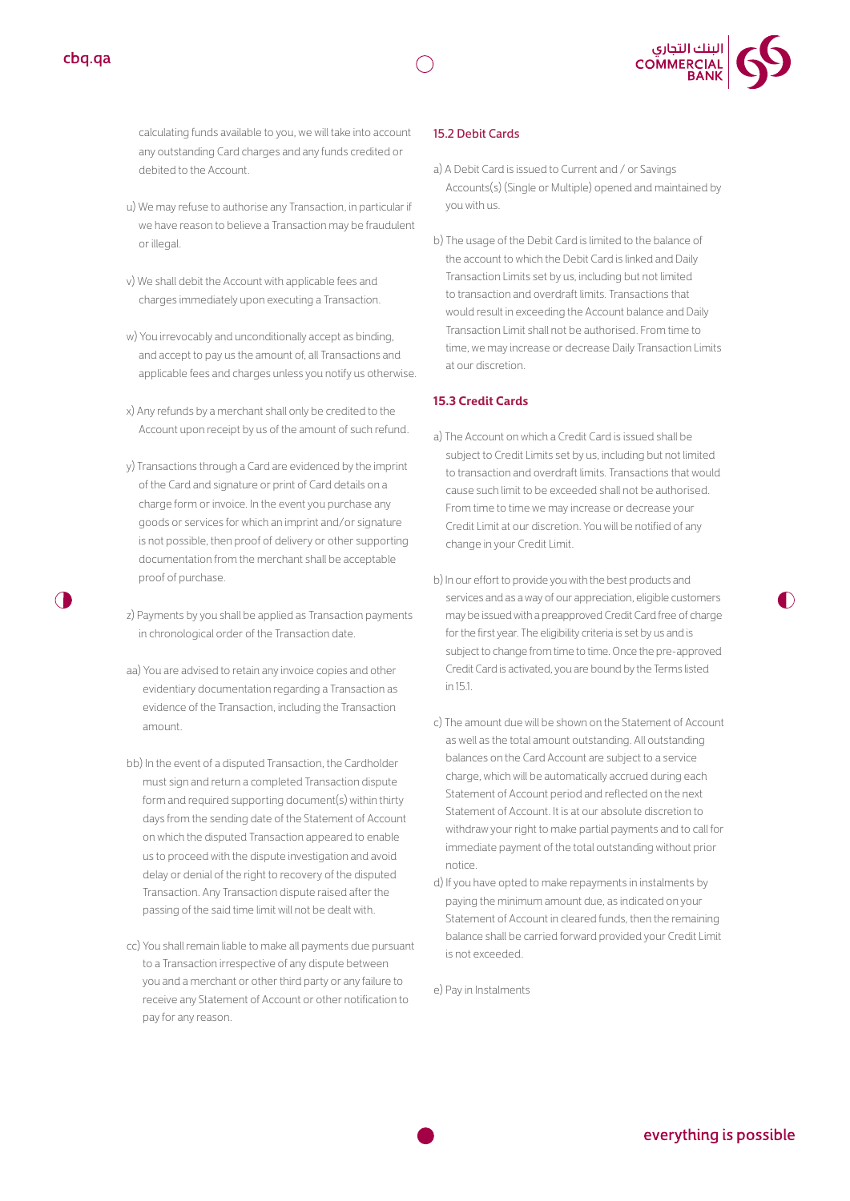



calculating funds available to you, we will take into account any outstanding Card charges and any funds credited or debited to the Account.

- u) We may refuse to authorise any Transaction, in particular if we have reason to believe a Transaction may be fraudulent or illegal.
- v) We shall debit the Account with applicable fees and charges immediately upon executing a Transaction.
- w) You irrevocably and unconditionally accept as binding, and accept to pay us the amount of, all Transactions and applicable fees and charges unless you notify us otherwise.
- x) Any refunds by a merchant shall only be credited to the Account upon receipt by us of the amount of such refund.
- y) Transactions through a Card are evidenced by the imprint of the Card and signature or print of Card details on a charge form or invoice. In the event you purchase any goods or services for which an imprint and/or signature is not possible, then proof of delivery or other supporting documentation from the merchant shall be acceptable proof of purchase.
- z) Payments by you shall be applied as Transaction payments in chronological order of the Transaction date.
- aa) You are advised to retain any invoice copies and other evidentiary documentation regarding a Transaction as evidence of the Transaction, including the Transaction amount.
- bb) In the event of a disputed Transaction, the Cardholder must sign and return a completed Transaction dispute form and required supporting document(s) within thirty days from the sending date of the Statement of Account on which the disputed Transaction appeared to enable us to proceed with the dispute investigation and avoid delay or denial of the right to recovery of the disputed Transaction. Any Transaction dispute raised after the passing of the said time limit will not be dealt with.
- cc) You shall remain liable to make all payments due pursuant to a Transaction irrespective of any dispute between you and a merchant or other third party or any failure to receive any Statement of Account or other notification to pay for any reason.

#### 15.2 Debit Cards

- a) A Debit Card is issued to Current and / or Savings Accounts(s) (Single or Multiple) opened and maintained by you with us.
- b) The usage of the Debit Card is limited to the balance of the account to which the Debit Card is linked and Daily Transaction Limits set by us, including but not limited to transaction and overdraft limits. Transactions that would result in exceeding the Account balance and Daily Transaction Limit shall not be authorised. From time to time, we may increase or decrease Daily Transaction Limits at our discretion.

#### **15.3 Credit Cards**

- a) The Account on which a Credit Card is issued shall be subject to Credit Limits set by us, including but not limited to transaction and overdraft limits. Transactions that would cause such limit to be exceeded shall not be authorised. From time to time we may increase or decrease your Credit Limit at our discretion. You will be notified of any change in your Credit Limit.
- b) In our effort to provide you with the best products and services and as a way of our appreciation, eligible customers may be issued with a preapproved Credit Card free of charge for the first year. The eligibility criteria is set by us and is subject to change from time to time. Once the pre-approved Credit Card is activated, you are bound by the Terms listed in 15.1.
- c) The amount due will be shown on the Statement of Account as well as the total amount outstanding. All outstanding balances on the Card Account are subject to a service charge, which will be automatically accrued during each Statement of Account period and reflected on the next Statement of Account. It is at our absolute discretion to withdraw your right to make partial payments and to call for immediate payment of the total outstanding without prior notice.
- d) If you have opted to make repayments in instalments by paying the minimum amount due, as indicated on your Statement of Account in cleared funds, then the remaining balance shall be carried forward provided your Credit Limit is not exceeded.

e) Pay in Instalments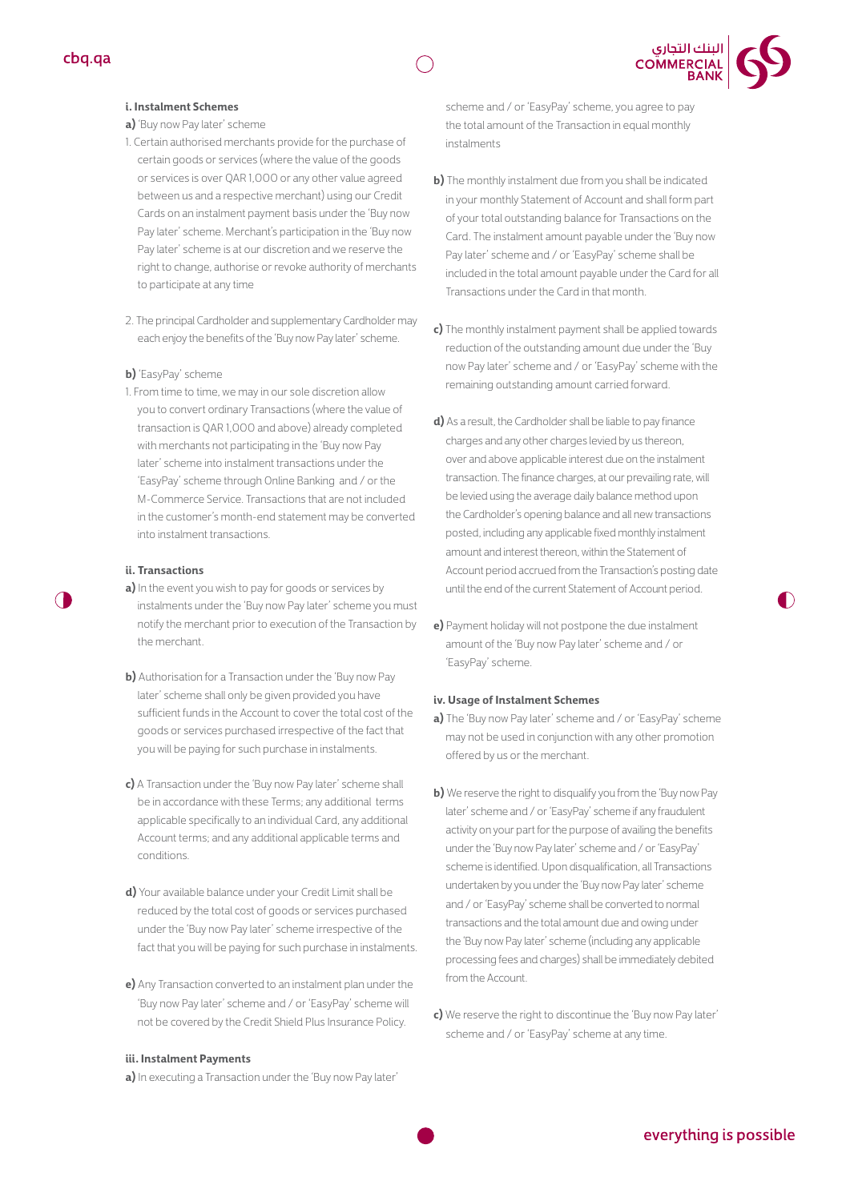

#### **i. Instalment Schemes**

#### **a)** 'Buy now Pay later' scheme

- 1. Certain authorised merchants provide for the purchase of certain goods or services (where the value of the goods or services is over QAR 1,000 or any other value agreed between us and a respective merchant) using our Credit Cards on an instalment payment basis under the 'Buy now Pay later' scheme. Merchant's participation in the 'Buy now Pay later' scheme is at our discretion and we reserve the right to change, authorise or revoke authority of merchants to participate at any time
- 2. The principal Cardholder and supplementary Cardholder may each enjoy the benefits of the'Buy now Pay later' scheme.

#### **b)** 'EasyPay' scheme

1. From time to time, we may in our sole discretion allow you to convert ordinary Transactions (where the value of transaction is QAR 1,000 and above) already completed with merchants not participating in the 'Buy now Pay later' scheme into instalment transactions under the 'EasyPay' scheme through Online Banking and / or the M-Commerce Service. Transactions that are not included in the customer's month-end statement may be converted into instalment transactions.

#### **ii. Transactions**

- **a)** In the event you wish to pay for goods or services by instalments under the 'Buy now Pay later' scheme you must notify the merchant prior to execution of the Transaction by the merchant.
- **b)** Authorisation for a Transaction under the 'Buy now Pay later' scheme shall only be given provided you have sufficient funds in the Account to cover the total cost of the goods or services purchased irrespective of the fact that you will be paying for such purchase in instalments.
- **c)** A Transaction under the 'Buy now Pay later' scheme shall be in accordance with these Terms; any additional terms applicable specifically to an individual Card, any additional Account terms; and any additional applicable terms and conditions.
- **d)** Your available balance under your Credit Limit shall be reduced by the total cost of goods or services purchased under the 'Buy now Pay later' scheme irrespective of the fact that you will be paying for such purchase in instalments.
- **e)** Any Transaction converted to an instalment plan under the 'Buy now Pay later' scheme and / or 'EasyPay' scheme will not be covered by the Credit Shield Plus Insurance Policy.

#### **iii. Instalment Payments**

**a)** In executing a Transaction under the 'Buy now Pay later'

scheme and / or 'EasyPay' scheme, you agree to pay the total amount of the Transaction in equal monthly instalments

| البنك التجاري<br>| COMMERCIAL<br>| BANK

- **b)** The monthly instalment due from you shall be indicated in your monthly Statement of Account and shall form part of your total outstanding balance for Transactions on the Card. The instalment amount payable under the 'Buy now Pay later' scheme and / or 'EasyPay' scheme shall be included in the total amount payable under the Card for all Transactions under the Card in that month.
- **c)** The monthly instalment payment shall be applied towards reduction of the outstanding amount due under the 'Buy now Pay later' scheme and / or 'EasyPay' scheme with the remaining outstanding amount carried forward.
- **d)** As a result, the Cardholder shall be liable to pay finance charges and any other charges levied by us thereon, over and above applicable interest due on the instalment transaction. The finance charges, at our prevailing rate, will be levied using the average daily balance method upon the Cardholder's opening balance and all new transactions posted, including any applicable fixed monthly instalment amount and interest thereon, within the Statement of Account period accrued from the Transaction's posting date until the end of the current Statement of Account period.
- **e)** Payment holiday will not postpone the due instalment amount of the 'Buy now Pay later' scheme and / or 'EasyPay' scheme.

#### **iv. Usage of Instalment Schemes**

- **a)** The 'Buy now Pay later' scheme and / or 'EasyPay' scheme may not be usedin conjunction with any other promotion offered by us or the merchant.
- **b)** We reserve the right to disqualify you from the 'Buy now Pay later' scheme and / or 'EasyPay' scheme if any fraudulent activity on your part for the purpose of availing the benefits under the 'Buy now Pay later' scheme and / or 'EasyPay' scheme is identified. Upon disqualification, all Transactions undertaken by you under the 'Buy now Pay later' scheme and / or 'EasyPay' scheme shall be converted to normal transactions and the total amount due and owing under the 'Buy now Pay later' scheme (including any applicable processing fees and charges) shall be immediately debited from the Account.
- **c)** We reserve the right to discontinue the 'Buy now Pay later' scheme and / or 'EasyPay' scheme at any time.

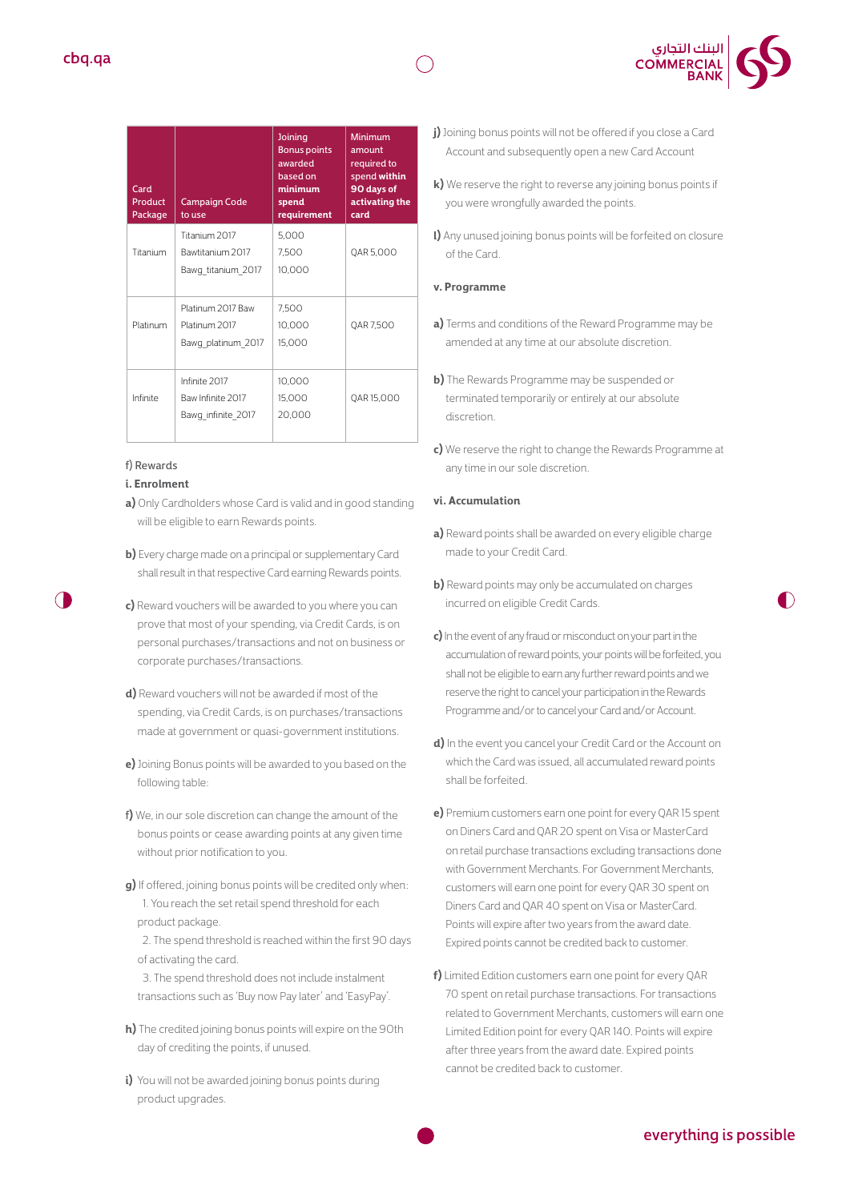

| Card<br>Product<br>Package | <b>Campaign Code</b><br>to use                           | Joining<br><b>Bonus points</b><br>awarded<br>based on<br>minimum<br>spend<br>requirement | Minimum<br>amount<br>required to<br>spend within<br>90 days of<br>activating the<br>card |
|----------------------------|----------------------------------------------------------|------------------------------------------------------------------------------------------|------------------------------------------------------------------------------------------|
| Titanium                   | Titanium 2017<br>Bawtitanium 2017<br>Bawg titanium 2017  | 5,000<br>7,500<br>10,000                                                                 | QAR 5,000                                                                                |
| Platinum                   | Platinum 2017 Baw<br>Platinum 2017<br>Bawg platinum 2017 | 7,500<br>10,000<br>15.000                                                                | QAR 7,500                                                                                |
| Infinite                   | Infinite 2017<br>Baw Infinite 2017<br>Bawg infinite 2017 | 10,000<br>15,000<br>20,000                                                               | QAR15,000                                                                                |

### f) Rewards

#### **i. Enrolment**

- **a)** Only Cardholders whose Card is valid and in good standing will be eligible to earn Rewards points.
- **b)** Every charge made on a principal or supplementary Card shall result in that respective Card earning Rewards points.
- **c)** Reward vouchers will be awarded to you where you can prove that most of your spending, via Credit Cards, is on personal purchases/transactions and not on business or corporate purchases/transactions.
- **d)** Reward vouchers will not be awarded if most of the spending, via Credit Cards, is on purchases/transactions made at government or quasi-government institutions.
- **e)** Joining Bonus points will be awarded to you based on the following table:
- f**)** We, in our sole discretion can change the amount of the bonus points or cease awarding points at any given time without prior notification to you.
- **g)** If offered, joining bonus points will be credited only when: 1. You reach the set retail spend threshold for each product package.

 2. The spend threshold is reached within the first 90 days of activating the card.

- 3. The spend threshold does not include instalment transactions such as 'Buy now Pay later' and 'EasyPay'.
- **h)** The credited joining bonus points will expire on the 90th day of crediting the points, if unused.
- **i)** You will not be awarded joining bonus points during product upgrades.
- **j)** Joining bonus points will not be offered if you close a Card Account and subsequently open a new Card Account
- **k)** We reserve the right to reverse any joining bonus points if you were wrongfully awarded the points.
- **l)** Any unused joining bonus points will be forfeited on closure of the Card.

#### **v. Programme**

- **a)** Terms and conditions of the Reward Programme may be amended at any time at our absolute discretion.
- **b)** The Rewards Programme may be suspended or terminated temporarily or entirely at our absolute discretion.
- **c)** We reserve the right to change the Rewards Programme at any time in our sole discretion.

#### **vi. Accumulation**

- **a)** Reward points shall be awarded on every eligible charge made to your Credit Card.
- **b)** Reward points may only be accumulated on charges incurred on eligible Credit Cards.
- **c)** In the event of any fraud or misconduct on your part in the accumulation of reward points, your points will be forfeited, you shall not be eligible to earn any further reward points and we reserve the right to cancel your participation in the Rewards Programme and/or to cancel your Card and/or Account.
- **d)** In the event you cancel your Credit Card or the Account on which the Card was issued, all accumulated reward points shall be forfeited.
- **e)** Premium customers earn one point for every QAR 15 spent on Diners Card and QAR 20 spent on Visa or MasterCard on retail purchase transactions excluding transactions done with Government Merchants. For Government Merchants, customers will earn one point for every QAR 30 spent on Diners Card and QAR 40 spent on Visa or MasterCard. Points will expire after two years from the award date. Expired points cannot be credited back to customer.
- **f)** Limited Edition customers earn one point for every QAR 70 spent on retail purchase transactions. For transactions related to Government Merchants, customers will earn one Limited Edition point for every QAR 140. Points will expire after three years from the award date. Expired points cannot be credited back to customer.

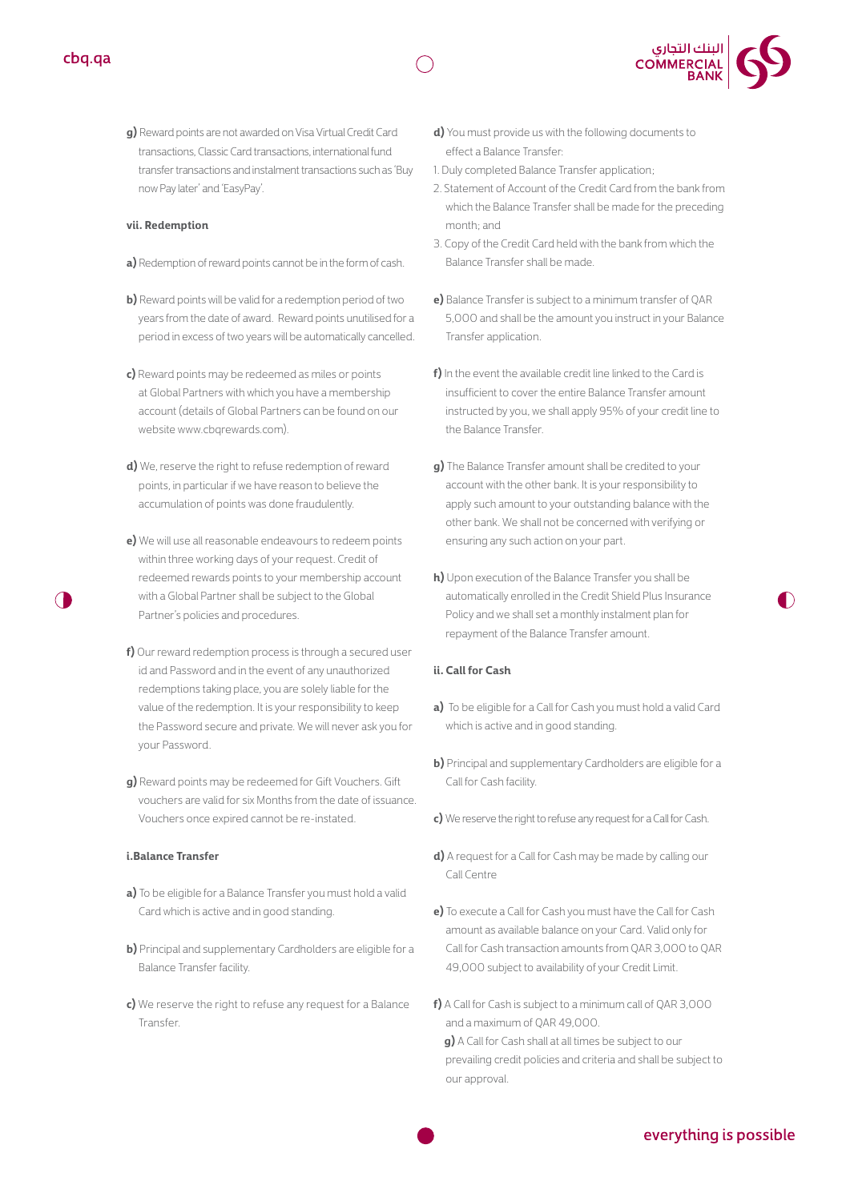



**g)** Reward points are not awarded on Visa Virtual Credit Card transactions, Classic Card transactions, international fund transfer transactions and instalment transactions such as 'Buy now Pay later' and 'EasyPay'.

#### **vii. Redemption**

- **a)** Redemption of reward points cannot be in the form of cash.
- **b)** Reward points will be valid for a redemption period of two years from the date of award. Reward points unutilised for a period in excess of two years will be automatically cancelled.
- **c)** Reward points may be redeemed as miles or points at Global Partners with which you have a membership account (details of Global Partners can be found on our website www.cbarewards.com).
- **d)** We, reserve the right to refuse redemption of reward points, in particular if we have reason to believe the accumulation of points was done fraudulently.
- **e)** We will use all reasonable endeavours to redeem points within three working days of your request. Credit of redeemed rewards points to your membership account with a Global Partner shall be subject to the Global Partner's policies and procedures.
- **f)** Our reward redemption process is through a secured user id and Password and in the event of any unauthorized redemptions taking place, you are solely liable for the value of the redemption. It is your responsibility to keep the Password secure and private. We will never ask you for your Password.
- **g)** Reward points may be redeemed for Gift Vouchers. Gift vouchers are valid for six Months from the date of issuance. Vouchers once expired cannot be re-instated.

#### **i.Balance Transfer**

- **a)** To be eligible for a Balance Transfer you must hold a valid Card which is active and in good standing.
- **b)** Principal and supplementary Cardholders are eligible for a Balance Transfer facility.
- **c)** We reserve the right to refuse any request for a Balance Transfer.
- **d)** You must provide us with the following documents to effect a Balance Transfer:
- 1. Duly completed Balance Transfer application;
- 2. Statement of Account of the Credit Card from the bank from which the Balance Transfer shall be made for the preceding month; and
- 3. Copy of the Credit Card held with the bank from which the Balance Transfer shall be made.
- **e)** Balance Transfer is subject to a minimum transfer of QAR 5,000 and shall be the amount you instruct in your Balance Transfer application.
- **f)** In the event the available credit line linked to the Card is insufficient to cover the entire Balance Transfer amount instructed by you, we shall apply 95% of your credit line to the Balance Transfer.
- **g)** The Balance Transfer amount shall be credited to your account with the other bank. It is your responsibility to apply such amount to your outstanding balance with the other bank. We shall not be concerned with verifying or ensuring any such action on your part.
- **h)** Upon execution of the Balance Transfer you shall be automatically enrolled in the Credit Shield Plus Insurance Policy and we shall set a monthly instalment plan for repayment of the Balance Transfer amount.

#### **ii. Call for Cash**

- **a)** To be eligible for a Call for Cash you must hold a valid Card which is active and in good standing.
- **b)** Principal and supplementary Cardholders are eligible for a Call for Cash facility.
- **c)** We reserve the right to refuse any request for a Call for Cash.
- **d)** A request for a Call for Cash may be made by calling our Call Centre
- **e)** To execute a Call for Cash you must have the Call for Cash amount as available balance on your Card. Valid only for Call for Cash transaction amounts from QAR 3,000 to QAR 49,000 subject to availability of your Credit Limit.
- **f)** A Call for Cash is subject to a minimum call of QAR 3,000 and a maximum of QAR 49,000. **g)** A Call for Cash shall at all times be subject to our prevailing credit policies and criteria and shall be subject to our approval.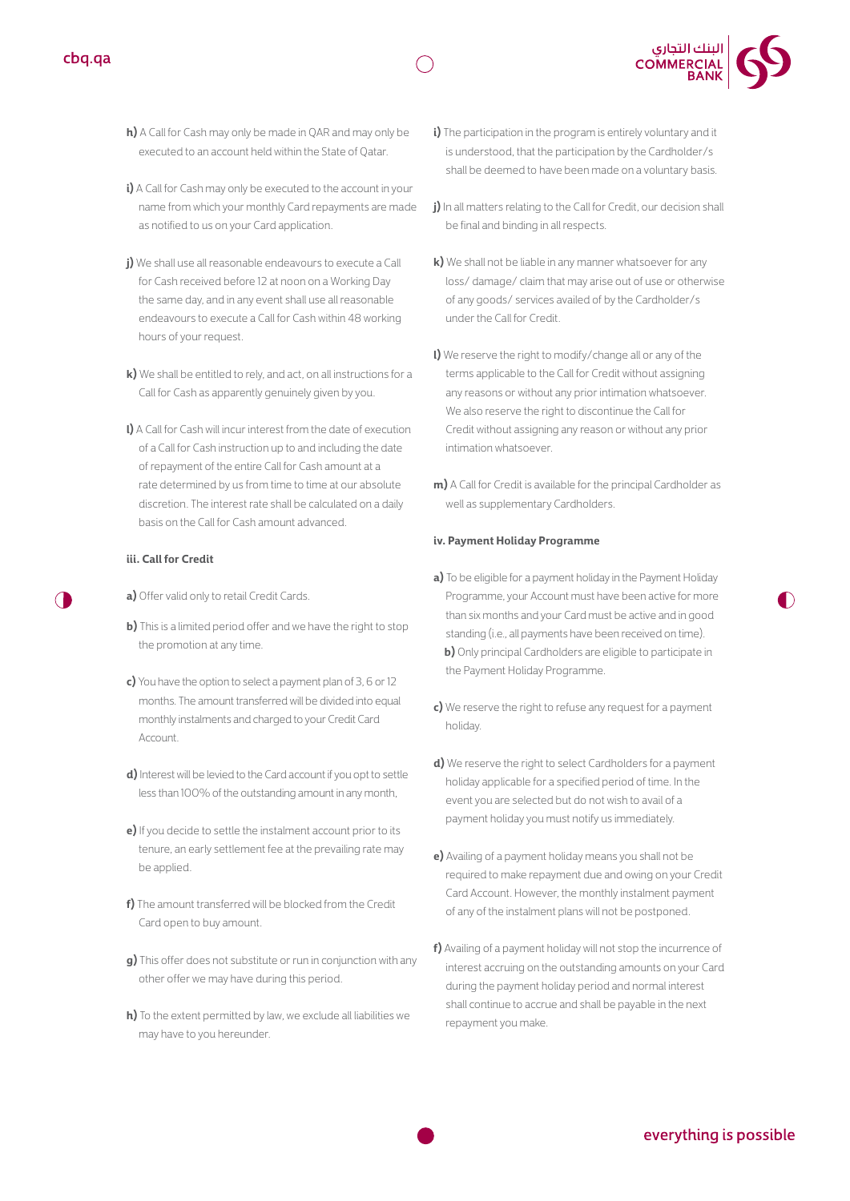



- **h)** A Call for Cash may only be made in QAR and may only be executed to an account held within the State of Qatar.
- **i)** A Call for Cash may only be executed to the account in your name from which your monthly Card repayments are made as notified to us on your Card application.
- **j)** We shall use all reasonable endeavours to execute a Call for Cash received before 12 at noon on a Working Day the same day, and in any event shall use all reasonable endeavours to execute a Call for Cash within 48 working hours of your request.
- **k)** We shall be entitled to rely, and act, on all instructions for a Call for Cash as apparently genuinely given by you.
- **l)** A Call for Cash will incur interest from the date of execution of a Call for Cash instruction up to and including the date of repayment of the entire Call for Cash amount at a rate determined by us from time to time at our absolute discretion. The interest rate shall be calculated on a daily basis on the Call for Cash amount advanced.

#### **iii. Call for Credit**

- **a)** Offer valid only to retail Credit Cards.
- **b)** This is a limited period offer and we have the right to stop the promotion at any time.
- **c)** You have the option to select a payment plan of 3, 6 or 12 months. The amount transferred will be divided into equal monthly instalments and charged to your Credit Card Account.
- **d)** Interest will be levied to the Card account if you opt to settle less than 100% of the outstanding amount in any month,
- **e)** If you decide to settle the instalment account prior to its tenure, an early settlement fee at the prevailing rate may be applied.
- **f)** The amount transferred will be blocked from the Credit Card open to buy amount.
- **g)** This offer does not substitute or run in conjunction with any other offer we may have during this period.
- **h)** To the extent permitted by law, we exclude all liabilities we may have to you hereunder.
- **i)** The participation in the program is entirely voluntary and it is understood, that the participation by the Cardholder/s shall be deemed to have been made on a voluntary basis.
- **j)** In all matters relating to the Call for Credit, our decision shall be final and binding in all respects.
- **k)** We shall not be liable in any manner whatsoever for any loss/ damage/ claim that may arise out of use or otherwise of any goods/ services availed of by the Cardholder/s under the Call for Credit.
- **l)** We reserve the right to modify/change all or any of the terms applicable to the Call for Credit without assigning any reasons or without any prior intimation whatsoever. We also reserve the right to discontinue the Call for Credit without assigning any reason or without any prior intimation whatsoever.
- **m)** A Call for Credit is available for the principal Cardholder as well as supplementary Cardholders.

#### **iv. Payment Holiday Programme**

- **a)** To be eligible for a payment holiday in the Payment Holiday Programme, your Account must have been active for more than six months and your Card must be active and in good standing (i.e., all payments have been received on time). **b)** Only principal Cardholders are eligible to participate in the Payment Holiday Programme.
- **c)** We reserve the right to refuse any request for a payment holiday.
- **d)** We reserve the right to select Cardholders for a payment holiday applicable for a specified period of time. In the event you are selected but do not wish to avail of a payment holiday you must notify us immediately.
- **e)** Availing of a payment holiday means you shall not be required to make repayment due and owing on your Credit Card Account. However, the monthly instalment payment of any of the instalment plans will not be postponed.
- **f)** Availing of a payment holiday will not stop the incurrence of interest accruing on the outstanding amounts on your Card during the payment holiday period and normal interest shall continue to accrue and shall be payable in the next repayment you make.

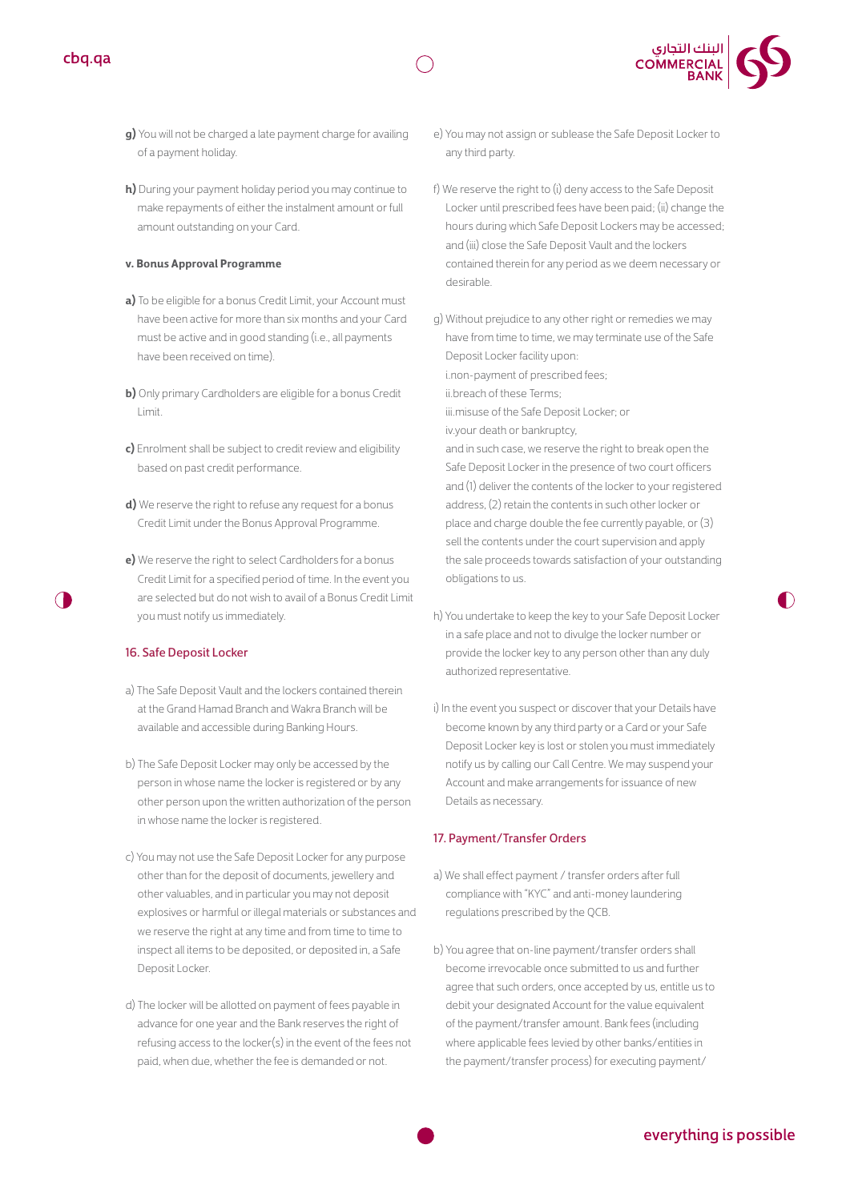

- **g)** You will not be charged a late payment charge for availing of a payment holiday.
- **h)** During your payment holiday period you may continue to make repayments of either the instalment amount or full amount outstanding on your Card.

#### **v. Bonus Approval Programme**

- **a)** To be eligible for a bonus Credit Limit, your Account must have been active for more than six months and your Card must be active and in good standing (i.e., all payments have been received on time).
- **b)** Only primary Cardholders are eligible for a bonus Credit Limit.
- **c)** Enrolment shall be subject to credit review and eligibility based on past credit performance.
- **d)** We reserve the right to refuse any request for a bonus Credit Limit under the Bonus Approval Programme.
- **e)** We reserve the right to select Cardholders for a bonus Credit Limit for a specified period of time. In the event you are selected but do not wish to avail of a Bonus Credit Limit you must notify us immediately.

#### 16. Safe Deposit Locker

- a) The Safe Deposit Vault and the lockers contained therein at the Grand Hamad Branch and Wakra Branch will be available and accessible during Banking Hours.
- b) The Safe Deposit Locker may only be accessed by the person in whose name the locker is registered or by any other person upon the written authorization of the person in whose name the locker is registered.
- c) You may not use the Safe Deposit Locker for any purpose other than for the deposit of documents, jewellery and other valuables, and in particular you may not deposit explosives or harmful or illegal materials or substances and we reserve the right at any time and from time to time to inspect all items to be deposited, or deposited in, a Safe Deposit Locker.
- d) The locker will be allotted on payment of fees payable in advance for one year and the Bank reserves the right of refusing access to the locker(s) in the event of the fees not paid, when due, whether the fee is demanded or not.
- e) You may not assign or sublease the Safe Deposit Locker to any third party.
- f) We reserve the right to (i) deny access to the Safe Deposit Locker until prescribed fees have been paid; (ii) change the hours during which Safe Deposit Lockers may be accessed; and (iii) close the Safe Deposit Vault and the lockers contained therein for any period as we deem necessary or desirable.
- g) Without prejudice to any other right or remedies we may have from time to time, we may terminate use of the Safe Deposit Locker facility upon: i.non-payment of prescribed fees;

ii.breach of these Terms;

iii.misuse of the Safe Deposit Locker; or

iv.your death or bankruptcy,

and in such case, we reserve the right to break open the Safe Deposit Locker in the presence of two court officers and (1) deliver the contents of the locker to your registered address, (2) retain the contents in such other locker or place and charge double the fee currently payable, or (3) sell the contents under the court supervision and apply the sale proceeds towards satisfaction of your outstanding obligations to us.

- h) You undertake to keep the key to your Safe Deposit Locker in a safe place and not to divulge the locker number or provide the locker key to any person other than any duly authorized representative.
- i) In the event you suspect or discover that your Details have become known by any third party or a Card or your Safe Deposit Locker key is lost or stolen you must immediately notify us by calling our Call Centre. We may suspend your Account and make arrangements for issuance of new Details as necessary.

#### 17. Payment/Transfer Orders

- a) We shall effect payment / transfer orders after full compliance with "KYC" and anti-money laundering regulations prescribed by the QCB.
- b) You agree that on-line payment/transfer orders shall become irrevocable once submitted to us and further agree that such orders, once accepted by us, entitle us to debit your designated Account for the value equivalent of the payment/transfer amount. Bank fees (including where applicable fees levied by other banks/entities in the payment/transfer process) for executing payment/

# everything is possible

 $\bigcap$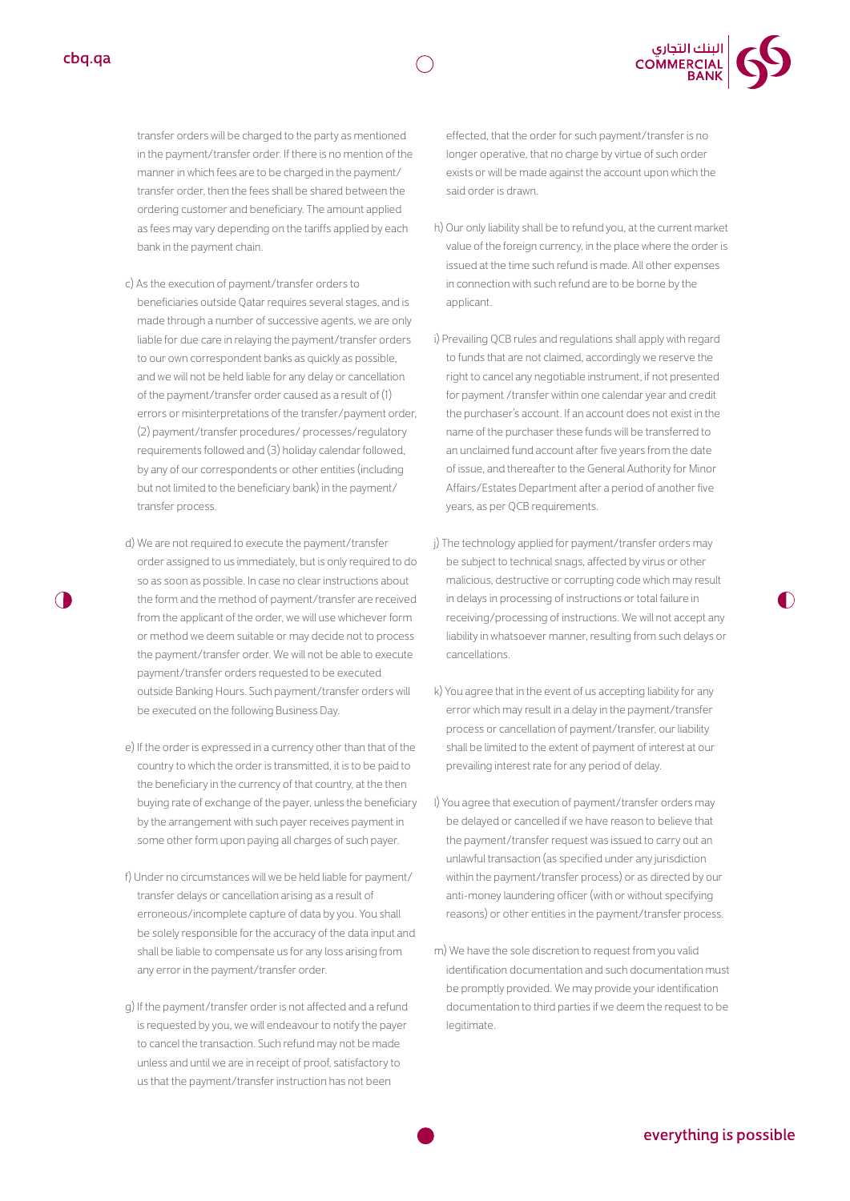

transfer orders will be charged to the party as mentioned in the payment/transfer order. If there is no mention of the manner in which fees are to be charged in the payment/ transfer order, then the fees shall be shared between the ordering customer and beneficiary. The amount applied as fees may vary depending on the tariffs applied by each bank in the payment chain.

- c) As the execution of payment/transfer orders to beneficiaries outside Qatar requires several stages, and is made through a number of successive agents, we are only liable for due care in relaying the payment/transfer orders to our own correspondent banks as quickly as possible, and we will not be held liable for any delay or cancellation of the payment/transfer order caused as a result of (1) errors or misinterpretations of the transfer/payment order, (2) payment/transfer procedures/ processes/regulatory requirements followed and (3) holiday calendar followed, by any of our correspondents or other entities (including but not limited to the beneficiary bank) in the payment/ transfer process.
- d) We are not required to execute the payment/transfer order assigned to us immediately, but is only required to do so as soon as possible. In case no clear instructions about the form and the method of payment/transfer are received from the applicant of the order, we will use whichever form or method we deem suitable or may decide not to process the payment/transfer order. We will not be able to execute payment/transfer orders requested to be executed outside Banking Hours. Such payment/transfer orders will be executed on the following Business Day.
- e) If the order is expressed in a currency other than that of the country to which the order is transmitted, it is to be paid to the beneficiary in the currency of that country, at the then buying rate of exchange of the payer, unless the beneficiary by the arrangement with such payer receives payment in some other form upon paying all charges of such payer.
- f) Under no circumstances will we be held liable for payment/ transfer delays or cancellation arising as a result of erroneous/incomplete capture of data by you. You shall be solely responsible for the accuracy of the data input and shall be liable to compensate us for any loss arising from any error in the payment/transfer order.
- g) If the payment/transfer order is not affected and a refund is requested by you, we will endeavour to notify the payer to cancel the transaction. Such refund may not be made unless and until we are in receipt of proof, satisfactory to us that the payment/transfer instruction has not been

effected, that the order for such payment/transfer is no longer operative, that no charge by virtue of such order exists or will be made against the account upon which the said order is drawn.

- h) Our only liability shall be to refund you, at the current market value of the foreign currency, in the place where the order is issued at the time such refund is made. All other expenses in connection with such refund are to be borne by the applicant.
- i) Prevailing QCB rules and regulations shall apply with regard to funds that are not claimed, accordingly we reserve the right to cancel any negotiable instrument, if not presented for payment /transfer within one calendar year and credit the purchaser's account. If an account does not exist in the name of the purchaser these funds will be transferred to an unclaimed fund account after five years from the date of issue, and thereafter to the General Authority for Minor Affairs/Estates Department after a period of another five years, as per QCB requirements.
- j) The technology applied for payment/transfer orders may be subject to technical snags, affected by virus or other malicious, destructive or corrupting code which may result in delays in processing of instructions or total failure in receiving/processing of instructions. We will not accept any liability in whatsoever manner, resulting from such delays or cancellations.
- k) You agree that in the event of us accepting liability for any error which may result in a delay in the payment/transfer process or cancellation of payment/transfer, our liability shall be limited to the extent of payment of interest at our prevailing interest rate for any period of delay.
- l) You agree that execution of payment/transfer orders may be delayed or cancelled if we have reason to believe that the payment/transfer request was issued to carry out an unlawful transaction (as specified under any jurisdiction within the payment/transfer process) or as directed by our anti-money laundering officer (with or without specifying reasons) or other entities in the payment/transfer process.
- m) We have the sole discretion to request from you valid identification documentation and such documentation must be promptly provided. We may provide your identification documentation to third parties if we deem the request to be legitimate.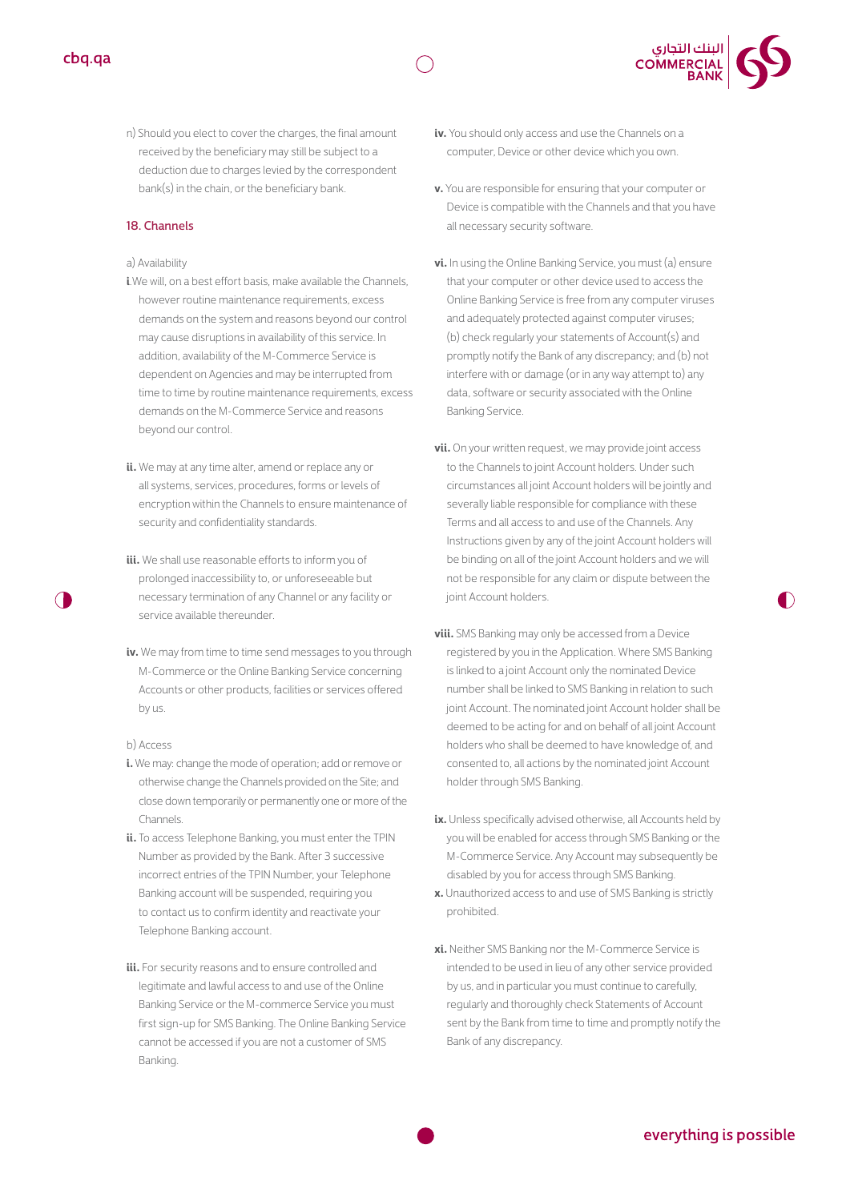



n) Should you elect to cover the charges, the final amount received by the beneficiary may still be subject to a deduction due to charges levied by the correspondent bank(s) in the chain, or the beneficiary bank.

#### 18. Channels

#### a) Availability

- **i**.We will, on a best effort basis, make available the Channels, however routine maintenance requirements, excess demands on the system and reasons beyond our control may cause disruptions in availability of this service. In addition, availability of the M-Commerce Service is dependent on Agencies and may be interrupted from time to time by routine maintenance requirements, excess demands on the M-Commerce Service and reasons beyond our control.
- **ii.** We may at any time alter, amend or replace any or all systems, services, procedures, forms or levels of encryption within the Channels to ensure maintenance of security and confidentiality standards.
- **iii.** We shall use reasonable efforts to inform you of prolonged inaccessibility to, or unforeseeable but necessary termination of any Channel or any facility or service available thereunder.
- **iv.** We may from time to time send messages to you through M-Commerce or the Online Banking Service concerning Accounts or other products, facilities or services offered by us.

#### b) Access

- **i.** We may: change the mode of operation; add or remove or otherwise change the Channels provided on the Site; and close down temporarily or permanently one or more of the Channels.
- **ii.** To access Telephone Banking, you must enter the TPIN Number as provided by the Bank. After 3 successive incorrect entries of the TPIN Number, your Telephone Banking account will be suspended, requiring you to contact us to confirm identity and reactivate your Telephone Banking account.
- **iii.** For security reasons and to ensure controlled and legitimate and lawful access to and use of the Online Banking Service or the M-commerce Service you must first sign-up for SMS Banking. The Online Banking Service cannot be accessed if you are not a customer of SMS Banking.
- **iv.** You should only access and use the Channels on a computer, Device or other device which you own.
- **v.** You are responsible for ensuring that your computer or Device is compatible with the Channels and that you have all necessary security software.
- **vi.** In using the Online Banking Service, you must (a) ensure that your computer or other device used to access the Online Banking Service is free from any computer viruses and adequately protected against computer viruses; (b) check regularly your statements of Account(s) and promptly notify the Bank of any discrepancy; and (b) not interfere with or damage (or in any way attempt to) any data, software or security associated with the Online Banking Service.
- **vii.** On your written request, we may provide joint access to the Channels to joint Account holders. Under such circumstances all joint Account holders will be jointly and severally liable responsible for compliance with these Terms and all access to and use of the Channels. Any Instructions given by any of the joint Account holders will be binding on all of the joint Account holders and we will not be responsible for any claim or dispute between the joint Account holders.
- **viii.** SMS Banking may only be accessed from a Device registered by you in the Application. Where SMS Banking is linked to a joint Account only the nominated Device number shall be linked to SMS Banking in relation to such joint Account. The nominated joint Account holder shall be deemed to be acting for and on behalf of all joint Account holders who shall be deemed to have knowledge of, and consented to, all actions by the nominated joint Account holder through SMS Banking.
- ix. Unless specifically advised otherwise, all Accounts held by you will be enabled for access through SMS Banking or the M-Commerce Service. Any Account may subsequently be disabled by you for access through SMS Banking.
- **x.** Unauthorized access to and use of SMS Banking is strictly prohibited.
- **xi.** Neither SMS Banking nor the M-Commerce Service is intended to be used in lieu of any other service provided by us, and in particular you must continue to carefully, regularly and thoroughly check Statements of Account sent by the Bank from time to time and promptly notify the Bank of any discrepancy.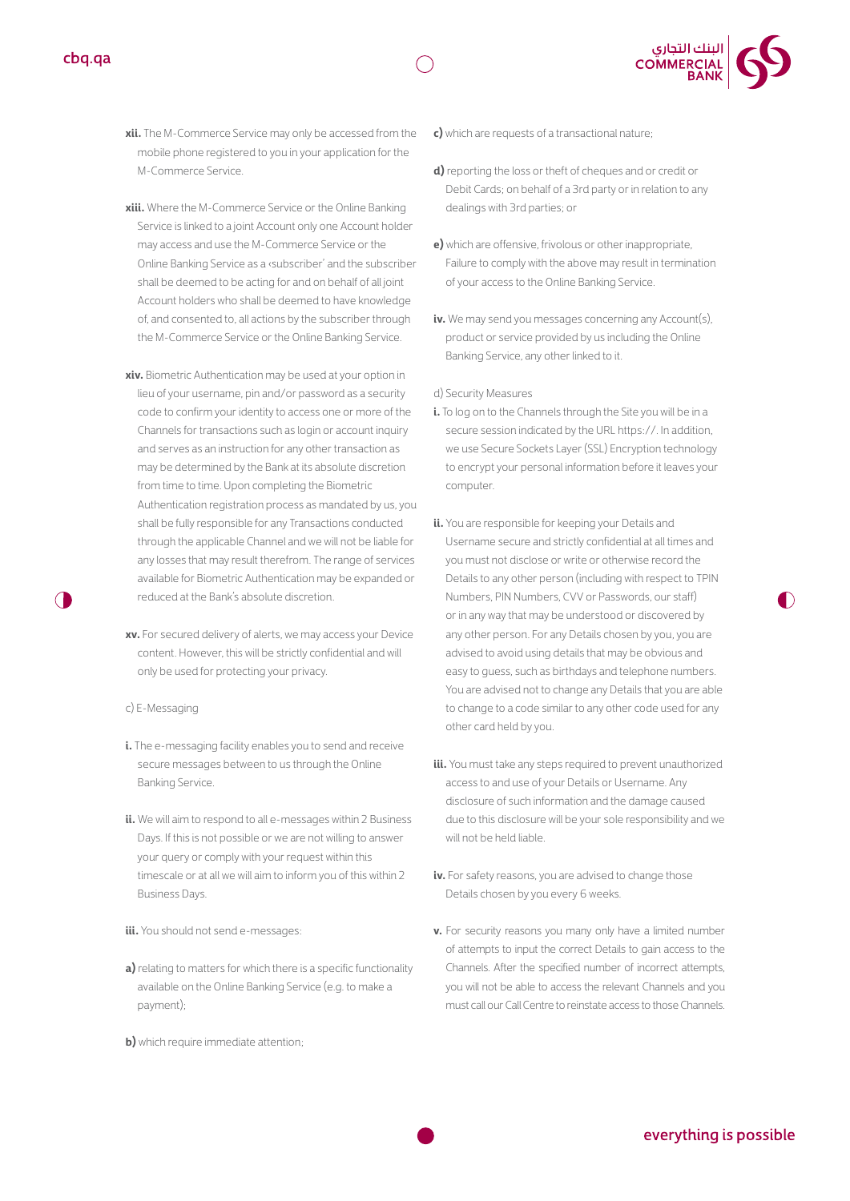

- **xii.** The M-Commerce Service may only be accessed from the mobile phone registered to you in your application for the M-Commerce Service.
- **xiii.** Where the M-Commerce Service or the Online Banking Service is linked to a joint Account only one Account holder may access and use the M-Commerce Service or the Online Banking Service as a ‹subscriber' and the subscriber shall be deemed to be acting for and on behalf of all joint Account holders who shall be deemed to have knowledge of, and consented to, all actions by the subscriber through the M-Commerce Service or the Online Banking Service.
- **xiv.**Biometric Authentication may be used at your option in lieu of your username, pin and/or password as a security code to confirm your identity to access one or more of the Channels for transactions such as login or account inquiry and serves as an instruction for any other transaction as may be determined by the Bank at its absolute discretion from time to time. Upon completing the Biometric Authentication registration process as mandated by us, you shall be fully responsible for any Transactions conducted through the applicable Channel and we will not be liable for any losses that may result therefrom. The range of services available for Biometric Authentication may be expanded or reduced at the Bank's absolute discretion.
- **xv.** For secured delivery of alerts, we may access your Device content. However, this will be strictly confidential and will only be used for protecting your privacy.

#### c) E-Messaging

 $\bigcap$ 

- **i.** The e-messaging facility enables you to send and receive secure messages between to us through the Online Banking Service.
- **ii.** We will aim to respond to all e-messages within 2 Business Days. If this is not possible or we are not willing to answer your query or comply with your request within this timescale or at all we will aim to inform you of this within 2 Business Days.

#### **iii.** You should not send e-messages:

- **a)** relating to matters for which there is a specific functionality available on the Online Banking Service (e.g. to make a payment);
- **b)** which require immediate attention;
- **c)** which are requests of a transactional nature;
- **d)** reporting the loss or theft of cheques and or credit or Debit Cards; on behalf of a 3rd party or in relation to any dealings with 3rd parties; or
- **e)** which are offensive, frivolous or other inappropriate, Failure to comply with the above may result in termination of your access to the Online Banking Service.
- **iv.** We may send you messages concerning any Account(s), product or service provided by us including the Online Banking Service, any other linked to it.

#### d) Security Measures

- **i.** To log on to the Channels through the Site you will be in a secure session indicated by the URL https://. In addition, we use Secure Sockets Layer (SSL) Encryption technology to encrypt your personal information before it leaves your computer.
- **ii.** You are responsible for keeping your Details and Username secure and strictly confidential at all times and you must not disclose or write or otherwise record the Details to any other person (including with respect to TPIN Numbers, PIN Numbers, CVV or Passwords, our staff) or in any way that may be understood or discovered by any other person. For any Details chosen by you, you are advised to avoid using details that may be obvious and easy to guess, such as birthdays and telephone numbers. You are advised not to change any Details that you are able to change to a code similar to any other code used for any other card held by you.
- **iii.** You must take any steps required to prevent unauthorized access to and use of your Details or Username. Any disclosure of such information and the damage caused due to this disclosure will be your sole responsibility and we will not be held liable.
- **iv.** For safety reasons, you are advised to change those Details chosen by you every 6 weeks.
- **v.** For security reasons you many only have a limited number of attempts to input the correct Details to gain access to the Channels. After the specified number of incorrect attempts, you will not be able to access the relevant Channels and you must call our Call Centre to reinstate access to those Channels.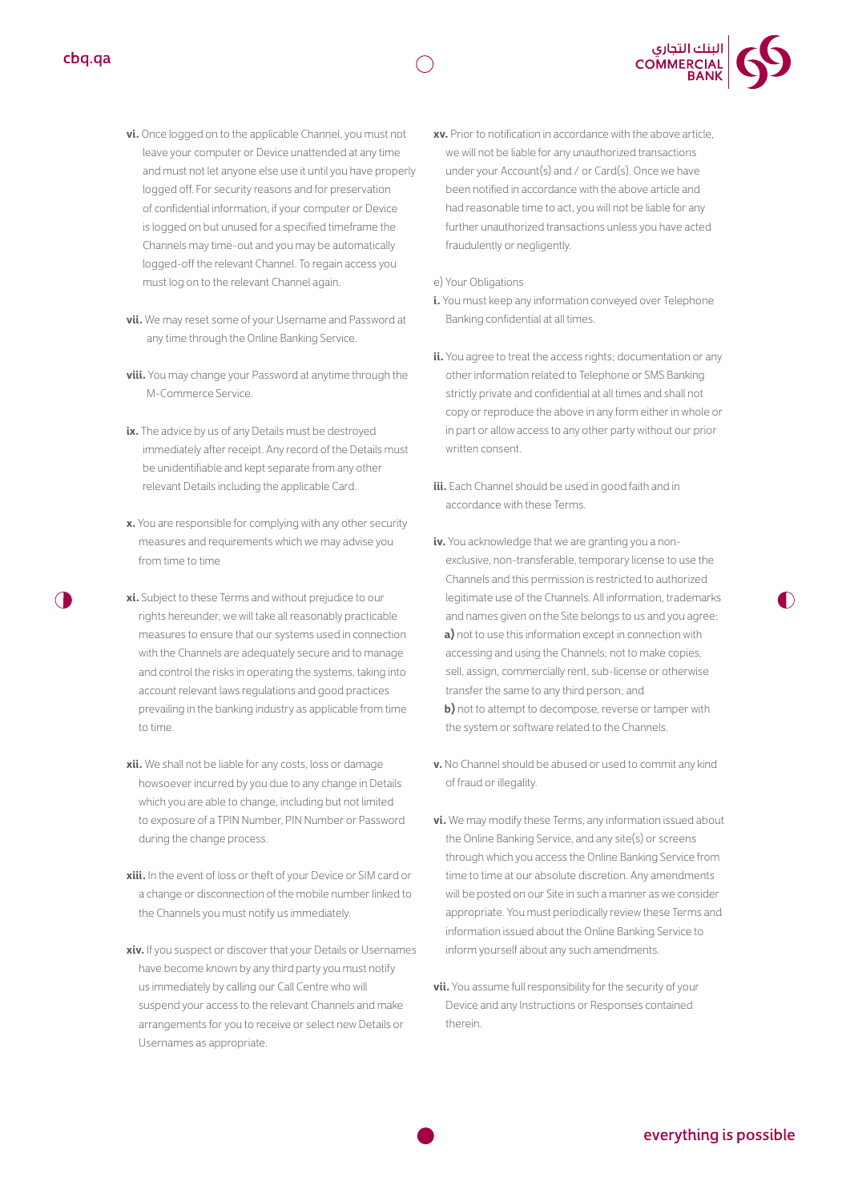- **vi.** Once logged on to the applicable Channel, you must not leave your computer or Device unattended at any time and must not let anyone else use it until you have properly logged off. For security reasons and for preservation of confidential information, if your computer or Device is logged on but unused for a specified timeframe the Channels may time-out and you may be automatically logged-off the relevant Channel. To regain access you must log on to the relevant Channel again.
- **vii.** We may reset some of your Username and Password at any time through the Online Banking Service.
- **viii.** You may change your Password at anytime through the M-Commerce Service.
- **ix.** The advice by us of any Details must be destroyed immediately after receipt. Any record of the Details must be unidentifiable and kept separate from any other relevant Details including the applicable Card.
- **x.** You are responsible for complying with any other security measures and requirements which we may advise you from time to time
- **xi.** Subject to these Terms and without prejudice to our rights hereunder, we will take all reasonably practicable measures to ensure that our systems used in connection with the Channels are adequately secure and to manage and control the risks in operating the systems, taking into account relevant laws regulations and good practices prevailing in the banking industry as applicable from time to time.
- **xii.** We shall not be liable for any costs, loss or damage howsoever incurred by you due to any change in Details which you are able to change, including but not limited to exposure of a TPIN Number, PIN Number or Password during the change process.
- **xiii.** In the event of loss or theft of your Device or SIM card or a change or disconnection of the mobile number linked to the Channels you must notify us immediately.
- **xiv.** If you suspect or discover that your Details or Usernames have become known by any third party you must notify us immediately by calling our Call Centre who will suspend your access to the relevant Channels and make arrangements for you to receive or select new Details or Usernames as appropriate.

**xv.** Prior to notification in accordance with the above article, we will not be liable for any unauthorized transactions under your Account(s) and / or Card(s). Once we have been notified in accordance with the above article and had reasonable time to act, you will not be liable for any further unauthorized transactions unless you have acted fraudulently or negligently.

e) Your Obligations

- **i.** You must keep any information conveyed over Telephone Banking confidential at all times.
- **ii.** You agree to treat the access rights; documentation or any other information related to Telephone or SMS Banking strictly private and confidential at all times and shall not copy or reproduce the above in any form either in whole or in part or allow access to any other party without our prior written consent.
- **iii.** Each Channel should be used in good faith and in accordance with these Terms.
- **iv.** You acknowledge that we are granting you a nonexclusive, non-transferable, temporary license to use the Channels and this permission is restricted to authorized legitimate use of the Channels. All information, trademarks and names given on the Site belongs to us and you agree:  **a)** not to use this information except in connection with accessing and using the Channels; not to make copies, sell, assign, commercially rent, sub-license or otherwise transfer the same to any third person; and **b)** not to attempt to decompose, reverse or tamper with the system or software related to the Channels.
- **v.** No Channel should be abused or used to commit any kind of fraud or illegality.
- **vi.** We may modify these Terms, any information issued about the Online Banking Service, and any site(s) or screens through which you access the Online Banking Service from time to time at our absolute discretion. Any amendments will be posted on our Site in such a manner as we consider appropriate. You must periodically review these Terms and information issued about the Online Banking Service to inform yourself about any such amendments.
- **vii.** You assume full responsibility for the security of your Device and any Instructions or Responses contained therein.





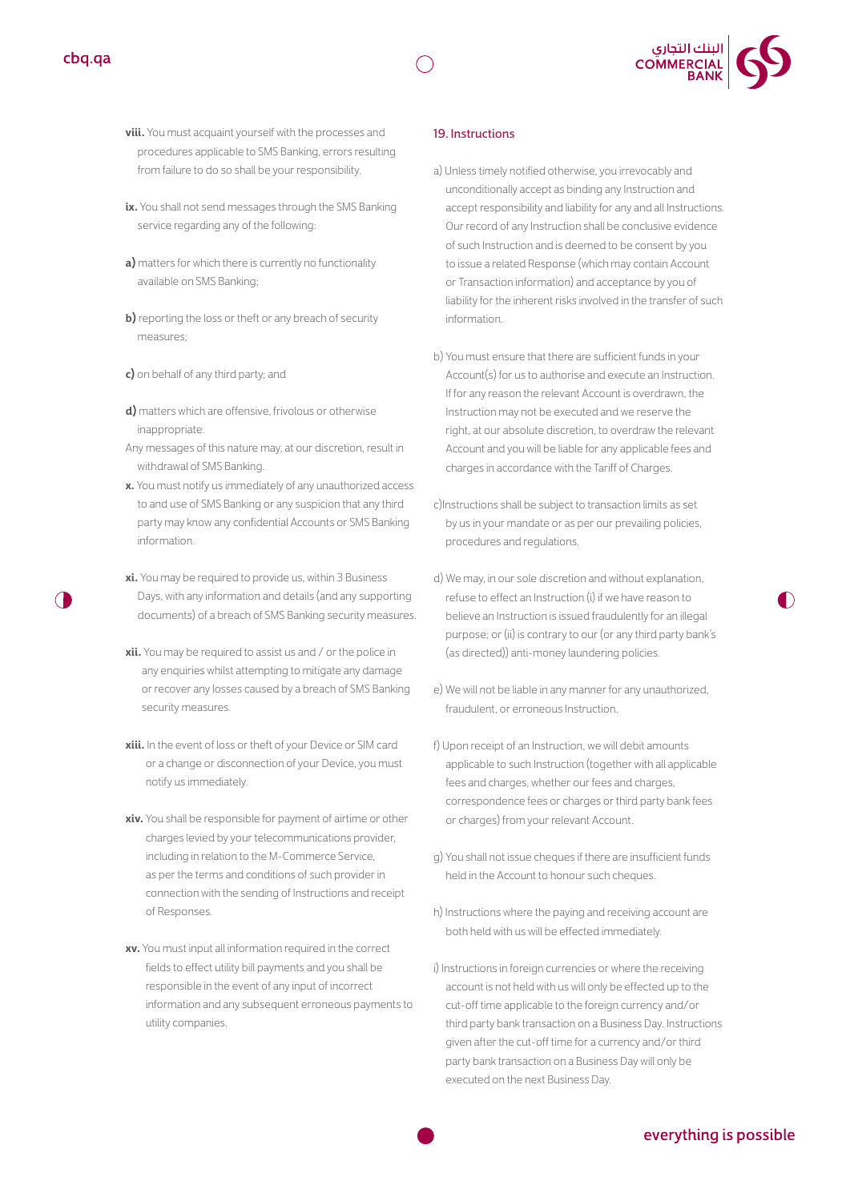



- **viii.** You must acquaint yourself with the processes and procedures applicable to SMS Banking, errors resulting from failure to do so shall be your responsibility.
- **ix.** You shall not send messages through the SMS Banking service regarding any of the following:
- **a)** matters for which there is currently no functionality available on SMS Banking;
- **b)** reporting the loss or theft or any breach of security measures;
- **c)** on behalf of any third party; and
- **d)** matters which are offensive, frivolous or otherwise inappropriate.
- Any messages of this nature may, at our discretion, result in withdrawal of SMS Banking.
- **x.** You must notify us immediately of any unauthorized access to and use of SMS Banking or any suspicion that any third party may know any confidential Accounts or SMS Banking information.
- **xi.** You may be required to provide us, within 3 Business Days, with any information and details (and any supporting documents) of a breach of SMS Banking security measures.
- **xii.** You may be required to assist us and / or the police in any enquiries whilst attempting to mitigate any damage or recover any losses caused by a breach of SMS Banking security measures.
- **xiii.** In the event of loss or theft of your Device or SIM card or a change or disconnection of your Device, you must notify us immediately.
- **xiv.** You shall be responsible for payment of airtime or other charges levied by your telecommunications provider, including in relation to the M-Commerce Service, as per the terms and conditions of such provider in connection with the sending of Instructions and receipt of Responses.
- **xv.** You must input all information required in the correct fields to effect utility bill payments and you shall be responsible in the event of any input of incorrect information and any subsequent erroneous payments to utility companies.

#### 19. Instructions

- a) Unless timely notified otherwise, you irrevocably and unconditionally accept as binding any Instruction and accept responsibility and liability for any and all Instructions. Our record of any Instruction shall be conclusive evidence of such Instruction and is deemed to be consent by you to issue a related Response (which may contain Account or Transaction information) and acceptance by you of liability for the inherent risks involved in the transfer of such information.
- b) You must ensure that there are sufficient funds in your Account(s) for us to authorise and execute an Instruction. If for any reason the relevant Account is overdrawn, the Instruction may not be executed and we reserve the right, at our absolute discretion, to overdraw the relevant Account and you will be liable for any applicable fees and charges in accordance with the Tariff of Charges.
- c)Instructions shall be subject to transaction limits as set by us in your mandate or as per our prevailing policies, procedures and regulations.
- d) We may, in our sole discretion and without explanation, refuse to effect an Instruction (i) if we have reason to believe an Instruction is issued fraudulently for an illegal purpose; or (ii) is contrary to our (or any third party bank's (as directed)) anti-money laundering policies.
- e) We will not be liable in any manner for any unauthorized, fraudulent, or erroneous Instruction.
- f) Upon receipt of an Instruction, we will debit amounts applicable to such Instruction (together with all applicable fees and charges, whether our fees and charges, correspondence fees or charges or third party bank fees or charges) from your relevant Account.
- g) You shall not issue cheques if there are insufficient funds held in the Account to honour such cheques.
- h) Instructions where the paying and receiving account are both held with us will be effected immediately.
- i) Instructions in foreign currencies or where the receiving account is not held with us will only be effected up to the cut-off time applicable to the foreign currency and/or third party bank transaction on a Business Day. Instructions given after the cut-off time for a currency and/or third party bank transaction on a Business Day will only be executed on the next Business Day.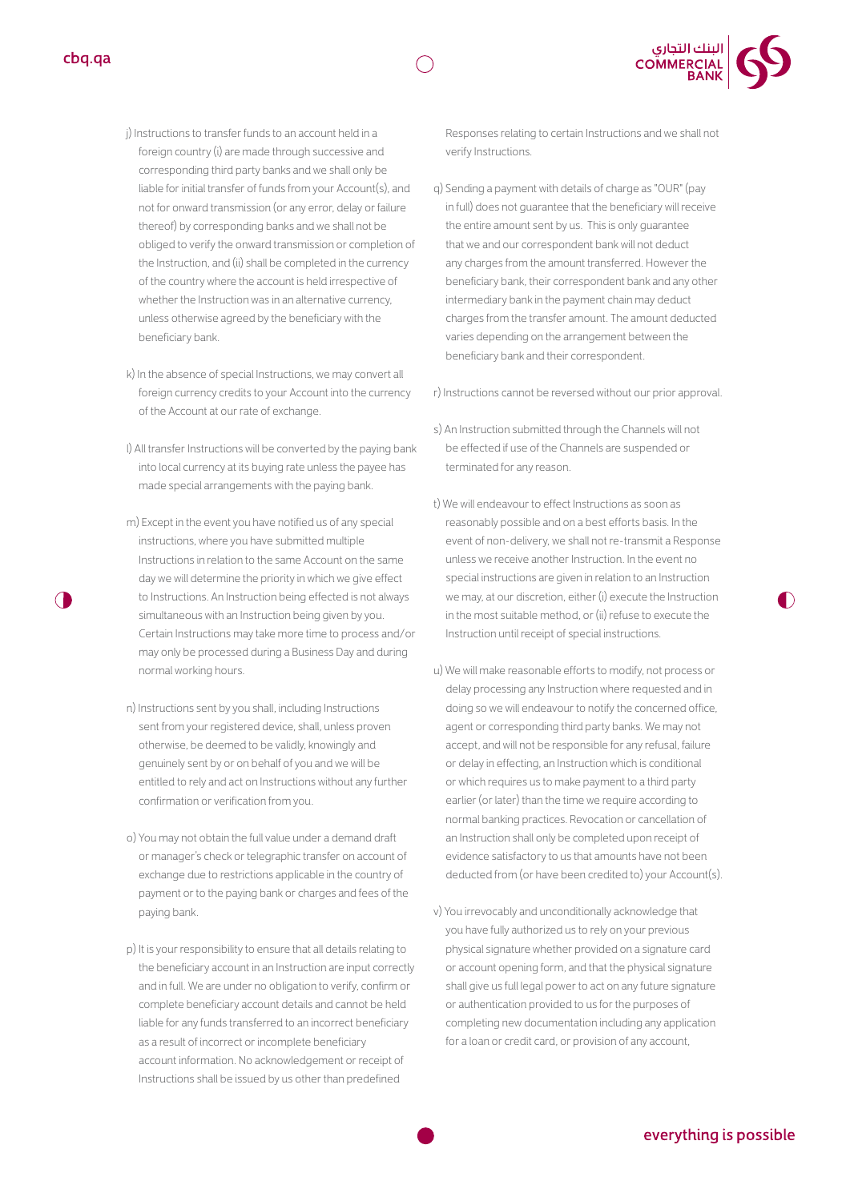



- j) Instructions to transfer funds to an account held in a foreign country (i) are made through successive and corresponding third party banks and we shall only be liable for initial transfer of funds from your Account(s), and not for onward transmission (or any error, delay or failure thereof) by corresponding banks and we shall not be obliged to verify the onward transmission or completion of the Instruction, and (ii) shall be completed in the currency of the country where the account is held irrespective of whether the Instruction was in an alternative currency, unless otherwise agreed by the beneficiary with the beneficiary bank.
- k) In the absence of special Instructions, we may convert all foreign currency credits to your Account into the currency of the Account at our rate of exchange.
- l) All transfer Instructions will be converted by the paying bank into local currency at its buying rate unless the payee has made special arrangements with the paying bank.
- m) Except in the event you have notified us of any special instructions, where you have submitted multiple Instructions in relation to the same Account on the same day we will determine the priority in which we give effect to Instructions. An Instruction being effected is not always simultaneous with an Instruction being given by you. Certain Instructions may take more time to process and/or may only be processed during a Business Day and during normal working hours.
- n) Instructions sent by you shall, including Instructions sent from your registered device, shall, unless proven otherwise, be deemed to be validly, knowingly and genuinely sent by or on behalf of you and we will be entitled to rely and act on Instructions without any further confirmation or verification from you.
- o) You may not obtain the full value under a demand draft or manager's check or telegraphic transfer on account of exchange due to restrictions applicable in the country of payment or to the paying bank or charges and fees of the paying bank.
- p) It is your responsibility to ensure that all details relating to the beneficiary account in an Instruction are input correctly and in full. We are under no obligation to verify, confirm or complete beneficiary account details and cannot be held liable for any funds transferred to an incorrect beneficiary as a result of incorrect or incomplete beneficiary account information. No acknowledgement or receipt of Instructions shall be issued by us other than predefined

Responses relating to certain Instructions and we shall not verify Instructions.

q) Sending a payment with details of charge as "OUR" (pay in full) does not guarantee that the beneficiary will receive the entire amount sent by us. This is only guarantee that we and our correspondent bank will not deduct any charges from the amount transferred. However the beneficiary bank, their correspondent bank and any other intermediary bank in the payment chain may deduct charges from the transfer amount. The amount deducted varies depending on the arrangement between the beneficiary bank and their correspondent.

r) Instructions cannot be reversed without our prior approval.

- s) An Instruction submitted through the Channels will not be effected if use of the Channels are suspended or terminated for any reason.
- t) We will endeavour to effect Instructions as soon as reasonably possible and on a best efforts basis. In the event of non-delivery, we shall not re-transmit a Response unless we receive another Instruction. In the event no special instructions are given in relation to an Instruction we may, at our discretion, either (i) execute the Instruction in the most suitable method, or (ii) refuse to execute the Instruction until receipt of special instructions.
- u) We will make reasonable efforts to modify, not process or delay processing any Instruction where requested and in doing so we will endeavour to notify the concerned office, agent or corresponding third party banks. We may not accept, and will not be responsible for any refusal, failure or delay in effecting, an Instruction which is conditional or which requires us to make payment to a third party earlier (or later) than the time we require according to normal banking practices. Revocation or cancellation of an Instruction shall only be completed upon receipt of evidence satisfactory to us that amounts have not been deducted from (or have been credited to) your Account(s).
- v) You irrevocably and unconditionally acknowledge that you have fully authorized us to rely on your previous physical signature whether provided on a signature card or account opening form, and that the physical signature shall give us full legal power to act on any future signature or authentication provided to us for the purposes of completing new documentation including any application for a loan or credit card, or provision of any account,

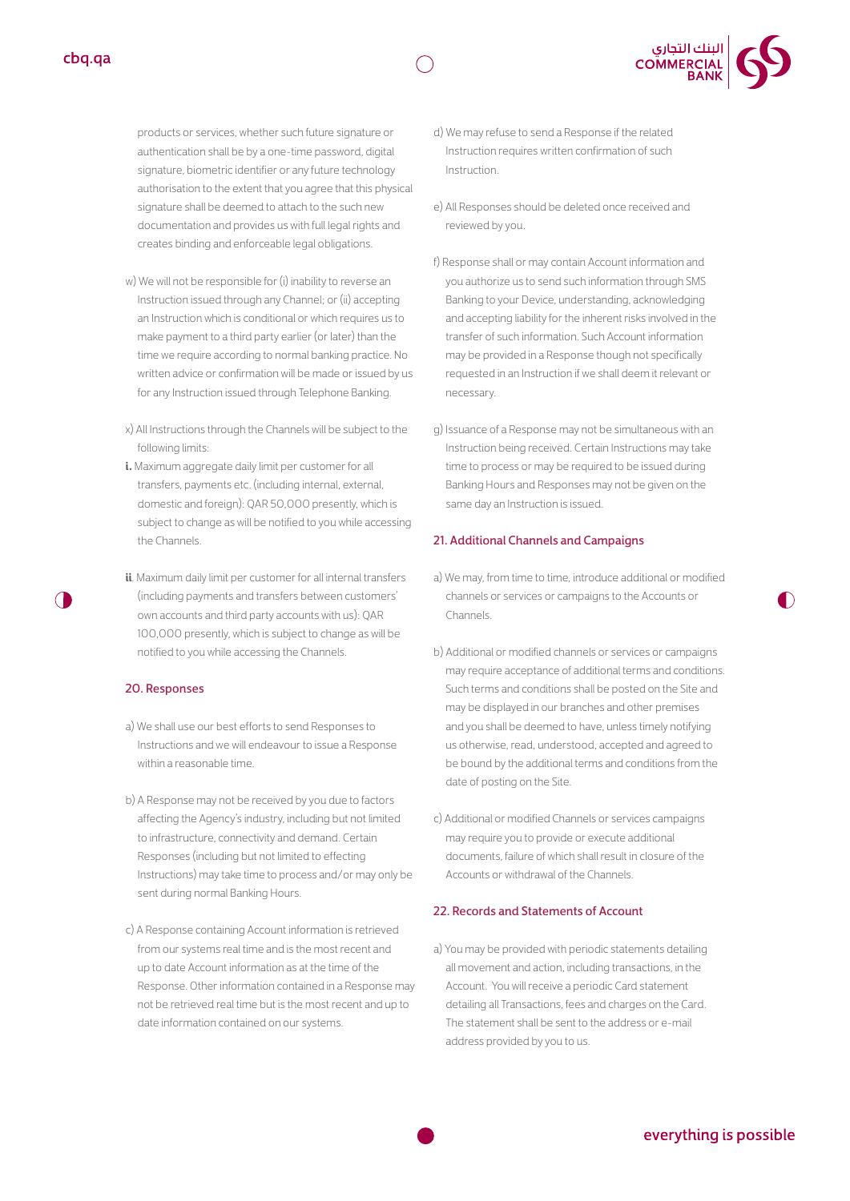products or services, whether such future signature or authentication shall be by a one-time password, digital signature, biometric identifier or any future technology authorisation to the extent that you agree that this physical signature shall be deemed to attach to the such new documentation and provides us with full legal rights and creates binding and enforceable legal obligations.

- w) We will not be responsible for (i) inability to reverse an Instruction issued through any Channel; or (ii) accepting an Instruction which is conditional or which requires us to make payment to a third party earlier (or later) than the time we require according to normal banking practice. No written advice or confirmation will be made or issued by us for any Instruction issued through Telephone Banking.
- x) All Instructions through the Channels will be subject to the following limits:
- **i.** Maximum aggregate daily limit per customer for all transfers, payments etc. (including internal, external, domestic and foreign): QAR 50,000 presently, which is subject to change as will be notified to you while accessing the Channels.
- **ii**. Maximum daily limit per customer for all internal transfers (including payments and transfers between customers' own accounts and third party accounts with us): QAR 100,000 presently, which is subject to change as will be notified to you while accessing the Channels.

#### 20. Responses

- a) We shall use our best efforts to send Responses to Instructions and we will endeavour to issue a Response within a reasonable time.
- b) A Response may not be received by you due to factors affecting the Agency's industry, including but not limited to infrastructure, connectivity and demand. Certain Responses (including but not limited to effecting Instructions) may take time to process and/or may only be sent during normal Banking Hours.
- c) A Response containing Account information is retrieved from our systems real time and is the most recent and up to date Account information as at the time of the Response. Other information contained in a Response may not be retrieved real time but is the most recent and up to date information contained on our systems.
- d) We may refuse to send a Response if the related Instruction requires written confirmation of such Instruction.
- e) All Responses should be deleted once received and reviewed by you.
- f) Response shall or may contain Account information and you authorize us to send such information through SMS Banking to your Device, understanding, acknowledging and accepting liability for the inherent risks involved in the transfer of such information. Such Account information may be provided in a Response though not specifically requested in an Instruction if we shall deem it relevant or necessary.
- g) Issuance of a Response may not be simultaneous with an Instruction being received. Certain Instructions may take time to process or may be required to be issued during Banking Hours and Responses may not be given on the same day an Instruction is issued.

#### 21. Additional Channels and Campaigns

- a) We may, from time to time, introduce additional or modified channels or services or campaigns to the Accounts or Channels.
- b) Additional or modified channels or services or campaigns may require acceptance of additional terms and conditions. Such terms and conditions shall be posted on the Site and may be displayed in our branches and other premises and you shall be deemed to have, unless timely notifying us otherwise, read, understood, accepted and agreed to be bound by the additional terms and conditions from the date of posting on the Site.
- c) Additional or modified Channels or services campaigns may require you to provide or execute additional documents, failure of which shall result in closure of the Accounts or withdrawal of the Channels.

#### 22. Records and Statements of Account

a) You may be provided with periodic statements detailing all movement and action, including transactions, in the Account. You will receive a periodic Card statement detailing all Transactions, fees and charges on the Card. The statement shall be sent to the address or e-mail address provided by you to us.

| البنك التجاري<br>| COMMERCIAL<br>| BANK

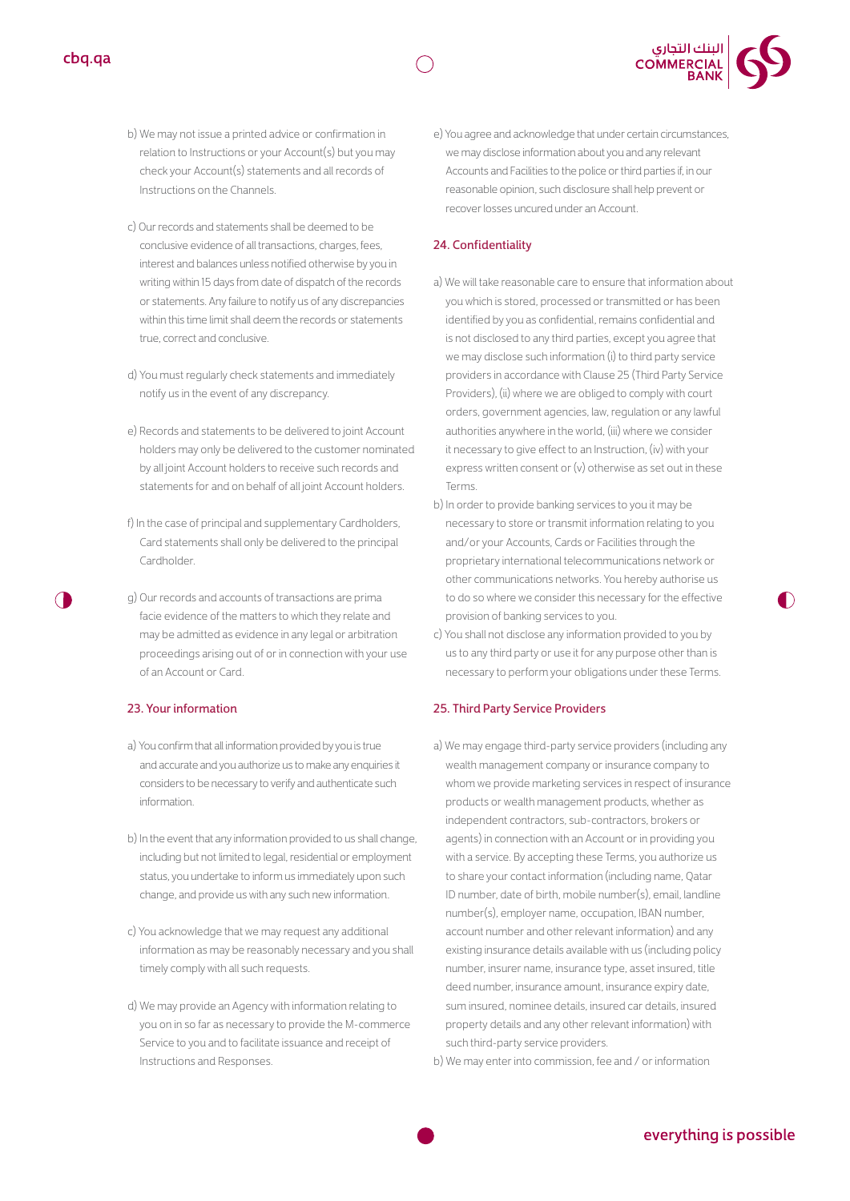- b) We may not issue a printed advice or confirmation in relation to Instructions or your Account(s) but you may check your Account(s) statements and all records of Instructions on the Channels.
- c) Our records and statements shall be deemed to be conclusive evidence of all transactions, charges, fees, interest and balances unless notified otherwise by you in writing within 15 days from date of dispatch of the records or statements. Any failure to notify us of any discrepancies within this time limit shall deem the records or statements true, correct and conclusive.
- d) You must regularly check statements and immediately notify us in the event of any discrepancy.
- e) Records and statements to be delivered to joint Account holders may only be delivered to the customer nominated by all joint Account holders to receive such records and statements for and on behalf of all joint Account holders.
- f) In the case of principal and supplementary Cardholders, Card statements shall only be delivered to the principal Cardholder.
- g) Our records and accounts of transactions are prima facie evidence of the matters to which they relate and may be admitted as evidence in any legal or arbitration proceedings arising out of or in connection with your use of an Account or Card.

#### 23. Your information

- a) You confirm that all information provided by you is true and accurate and you authorize us to make any enquiries it considers to be necessary to verify and authenticate such information.
- b) In the event that any information provided to us shall change, including but not limited to legal, residential or employment status, you undertake to inform us immediately upon such change, and provide us with any such new information.
- c) You acknowledge that we may request any additional information as may be reasonably necessary and you shall timely comply with all such requests.
- d) We may provide an Agency with information relating to you on in so far as necessary to provide the M-commerce Service to you and to facilitate issuance and receipt of Instructions and Responses.

e) You agree and acknowledge that under certain circumstances, we may disclose information about you and any relevant Accounts and Facilities to the police or third parties if, in our reasonable opinion, such disclosure shall help prevent or recover losses uncured under an Account.

#### 24. Confidentiality

- a) We will take reasonable care to ensure that information about you which is stored, processed or transmitted or has been identified by you as confidential, remains confidential and is not disclosed to any third parties, except you agree that we may disclose such information (i) to third party service providers in accordance with Clause 25 (Third Party Service Providers), (ii) where we are obliged to comply with court orders, government agencies, law, regulation or any lawful authorities anywhere in the world, (iii) where we consider it necessary to give effect to an Instruction, (iv) with your express written consent or (v) otherwise as set out in these Terms.
- b) In order to provide banking services to you it may be necessary to store or transmit information relating to you and/or your Accounts, Cards or Facilities through the proprietary international telecommunications network or other communications networks. You hereby authorise us to do so where we consider this necessary for the effective provision of banking services to you.
- c) You shall not disclose any information provided to you by us to any third party or use it for any purpose other than is necessary to perform your obligations under these Terms.

#### 25. Third Party Service Providers

a) We may engage third-party service providers (including any wealth management company or insurance company to whom we provide marketing services in respect of insurance products or wealth management products, whether as independent contractors, sub-contractors, brokers or agents) in connection with an Account or in providing you with a service. By accepting these Terms, you authorize us to share your contact information (including name, Qatar ID number, date of birth, mobile number(s), email, landline number(s), employer name, occupation, IBAN number, account number and other relevant information) and any existing insurance details available with us (including policy number, insurer name, insurance type, asset insured, title deed number, insurance amount, insurance expiry date, sum insured, nominee details, insured car details, insured property details and any other relevant information) with such third-party service providers.

b) We may enter into commission, fee and / or information



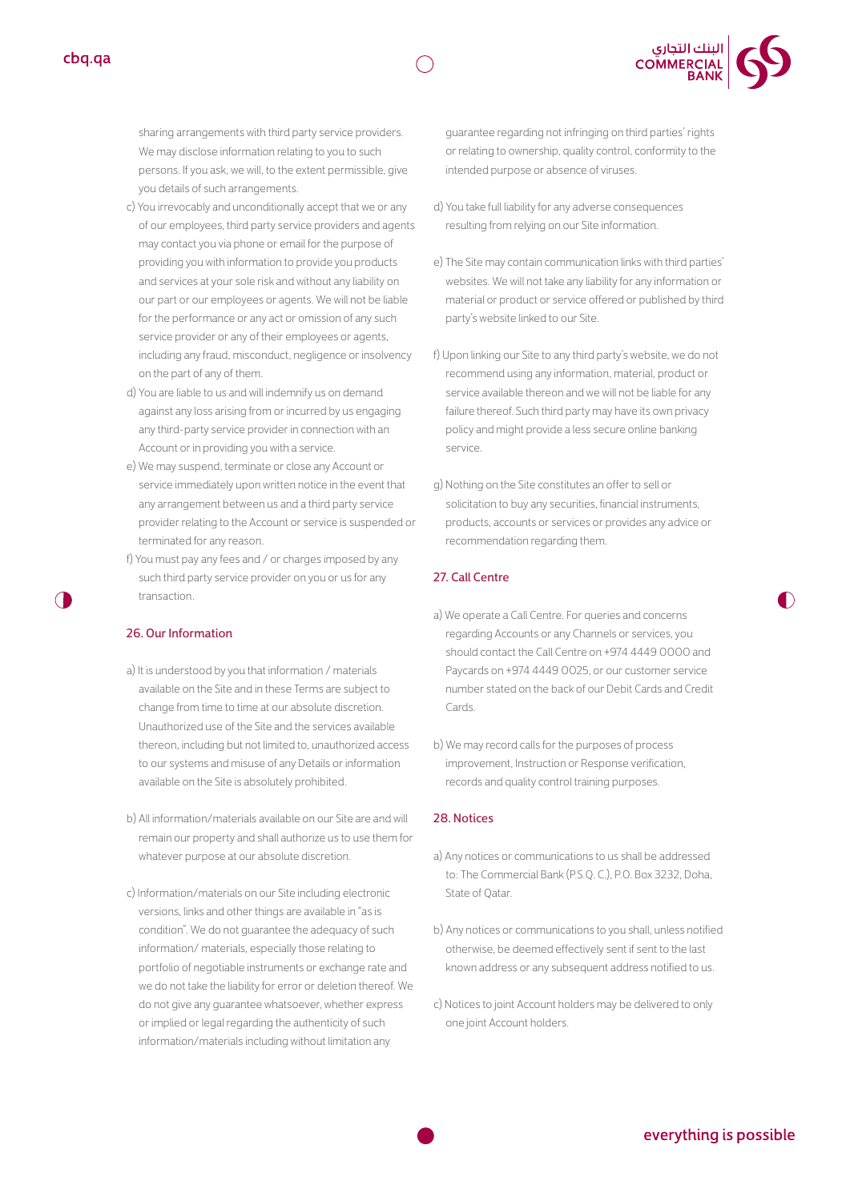



- c) You irrevocably and unconditionally accept that we or any of our employees, third party service providers and agents may contact you via phone or email for the purpose of providing you with information to provide you products and services at your sole risk and without any liability on our part or our employees or agents. We will not be liable for the performance or any act or omission of any such service provider or any of their employees or agents, including any fraud, misconduct, negligence or insolvency on the part of any of them.
- d) You are liable to us and will indemnify us on demand against any loss arising from or incurred by us engaging any third-party service provider in connection with an Account or in providing you with a service.
- e) We may suspend, terminate or close any Account or service immediately upon written notice in the event that any arrangement between us and a third party service provider relating to the Account or service is suspended or terminated for any reason.
- f) You must pay any fees and / or charges imposed by any such third party service provider on you or us for any transaction.

#### 26. Our Information

- a) It is understood by you that information / materials available on the Site and in these Terms are subject to change from time to time at our absolute discretion. Unauthorized use of the Site and the services available thereon, including but not limited to, unauthorized access to our systems and misuse of any Details or information available on the Site is absolutely prohibited.
- b) All information/materials available on our Site are and will remain our property and shall authorize us to use them for whatever purpose at our absolute discretion.
- c) Information/materials on our Site including electronic versions, links and other things are available in "as is condition". We do not guarantee the adequacy of such information/ materials, especially those relating to portfolio of negotiable instruments or exchange rate and we do not take the liability for error or deletion thereof. We do not give any guarantee whatsoever, whether express or implied or legal regarding the authenticity of such information/materials including without limitation any

guarantee regarding not infringing on third parties' rights or relating to ownership, quality control, conformity to the intended purpose or absence of viruses.

| البنك التجاري<br>| COMMERCIAL<br>| BANK

- d) You take full liability for any adverse consequences resulting from relying on our Site information.
- e) The Site may contain communication links with third parties' websites. We will not take any liability for any information or material or product or service offered or published by third party's website linked to our Site.
- f) Upon linking our Site to any third party's website, we do not recommend using any information, material, product or service available thereon and we will not be liable for any failure thereof. Such third party may have its own privacy policy and might provide a less secure online banking service.
- g) Nothing on the Site constitutes an offer to sell or solicitation to buy any securities, financial instruments, products, accounts or services or provides any advice or recommendation regarding them.

#### 27. Call Centre

- a) We operate a Call Centre. For queries and concerns regarding Accounts or any Channels or services, you should contact the Call Centre on +974 4449 0000 and Paycards on +974 4449 0025, or our customer service number stated on the back of our Debit Cards and Credit Cards.
- b) We may record calls for the purposes of process improvement, Instruction or Response verification, records and quality control training purposes.

#### 28. Notices

- a) Any notices or communications to us shall be addressed to: The Commercial Bank (P.S.Q. C.), P.O. Box 3232, Doha, State of Qatar.
- b) Any notices or communications to you shall, unless notified otherwise, be deemed effectively sent if sent to the last known address or any subsequent address notified to us.
- c) Notices to joint Account holders may be delivered to only one joint Account holders.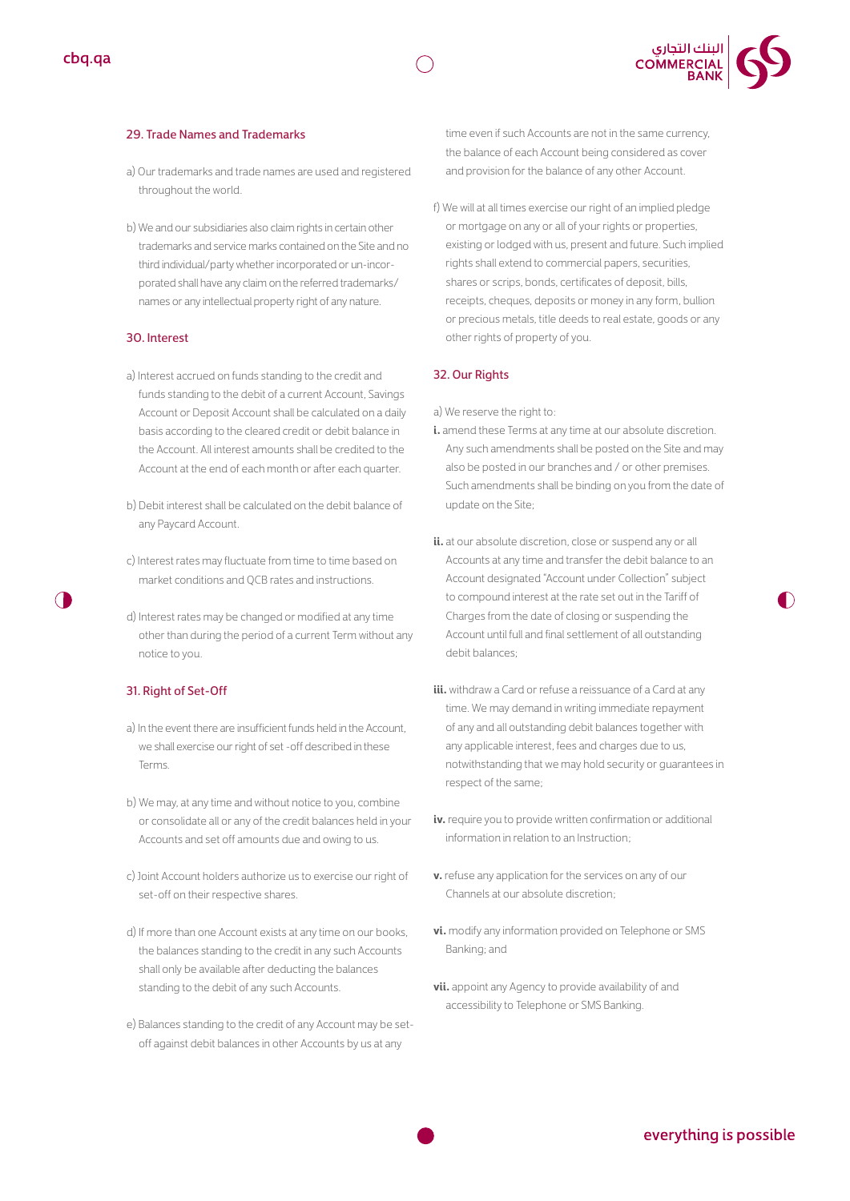



#### 29. Trade Names and Trademarks

- a) Our trademarks and trade names are used and registered throughout the world.
- b) We and our subsidiaries also claim rights in certain other trademarks and service marks contained on the Site and no third individual/party whether incorporated or un-incorporated shall have any claim on the referred trademarks/ names or any intellectual property right of any nature.

#### 30. Interest

- a) Interest accrued on funds standing to the credit and funds standing to the debit of a current Account, Savings Account or Deposit Account shall be calculated on a daily basis according to the cleared credit or debit balance in the Account. All interest amounts shall be credited to the Account at the end of each month or after each quarter.
- b) Debit interest shall be calculated on the debit balance of any Paycard Account.
- c) Interest rates may fluctuate from time to time based on market conditions and QCB rates and instructions.
- d) Interest rates may be changed or modified at any time other than during the period of a current Term without any notice to you.

### 31. Right of Set-Off

- a) In the event there are insufficient funds held in the Account, we shall exercise our right of set -off described in these Terms.
- b) We may, at any time and without notice to you, combine or consolidate all or any of the credit balances held in your Accounts and set off amounts due and owing to us.
- c) Joint Account holders authorize us to exercise our right of set-off on their respective shares.
- d) If more than one Account exists at any time on our books, the balances standing to the credit in any such Accounts shall only be available after deducting the balances standing to the debit of any such Accounts.
- e) Balances standing to the credit of any Account may be setoff against debit balances in other Accounts by us at any

time even if such Accounts are not in the same currency, the balance of each Account being considered as cover and provision for the balance of any other Account.

f) We will at all times exercise our right of an implied pledge or mortgage on any or all of your rights or properties, existing or lodged with us, present and future. Such implied rights shall extend to commercial papers, securities, shares or scrips, bonds, certificates of deposit, bills, receipts, cheques, deposits or money in any form, bullion or precious metals, title deeds to real estate, goods or any other rights of property of you.

#### 32. Our Rights

a) We reserve the right to:

- **i.** amend these Terms at any time at our absolute discretion. Any such amendments shall be posted on the Site and may also be posted in our branches and / or other premises. Such amendments shall be binding on you from the date of update on the Site;
- **ii.** at our absolute discretion, close or suspend any or all Accounts at any time and transfer the debit balance to an Account designated "Account under Collection" subject to compound interest at the rate set out in the Tariff of Charges from the date of closing or suspending the Account until full and final settlement of all outstanding debit balances;
- **iii.** withdraw a Card or refuse a reissuance of a Card at any time. We may demand in writing immediate repayment of any and all outstanding debit balances together with any applicable interest, fees and charges due to us, notwithstanding that we may hold security or guarantees in respect of the same;
- **iv.** require you to provide written confirmation or additional information in relation to an Instruction;
- **v.** refuse any application for the services on any of our Channels at our absolute discretion;
- **vi.** modify any information provided on Telephone or SMS Banking; and
- **vii.** appoint any Agency to provide availability of and accessibility to Telephone or SMS Banking.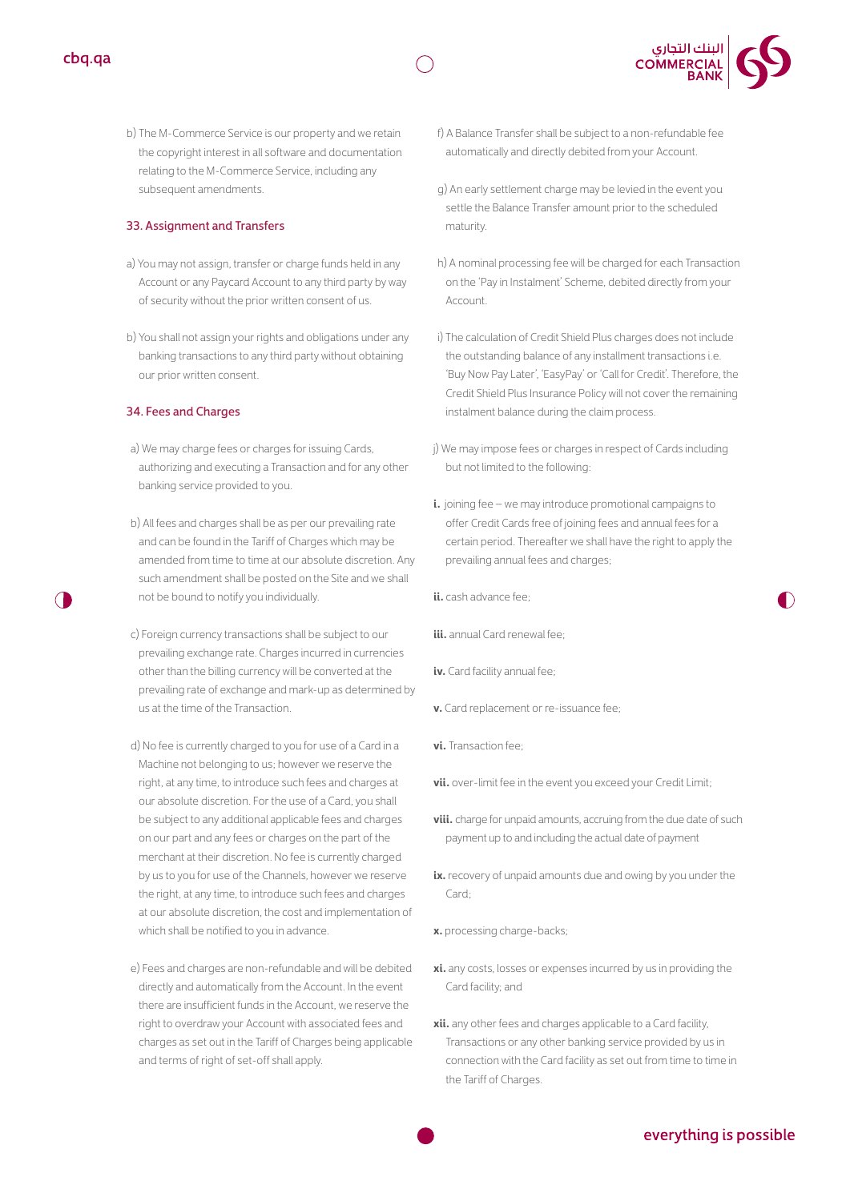



b) The M-Commerce Service is our property and we retain the copyright interest in all software and documentation relating to the M-Commerce Service, including any subsequent amendments.

#### 33. Assignment and Transfers

- a) You may not assign, transfer or charge funds held in any Account or any Paycard Account to any third party by way of security without the prior written consent of us.
- b) You shall not assign your rights and obligations under any banking transactions to any third party without obtaining our prior written consent.

#### 34. Fees and Charges

- a) We may charge fees or charges for issuing Cards, authorizing and executing a Transaction and for any other banking service provided to you.
- b) All fees and charges shall be as per our prevailing rate and can be found in the Tariff of Charges which may be amended from time to time at our absolute discretion. Any such amendment shall be posted on the Site and we shall not be bound to notify you individually.
- c) Foreign currency transactions shall be subject to our prevailing exchange rate. Charges incurred in currencies other than the billing currency will be converted at the prevailing rate of exchange and mark-up as determined by us at the time of the Transaction.
- d) No fee is currently charged to you for use of a Card in a Machine not belonging to us; however we reserve the right, at any time, to introduce such fees and charges at our absolute discretion. For the use of a Card, you shall be subject to any additional applicable fees and charges on our part and any fees or charges on the part of the merchant at their discretion. No fee is currently charged by us to you for use of the Channels, however we reserve the right, at any time, to introduce such fees and charges at our absolute discretion, the cost and implementation of which shall be notified to you in advance.
- e) Fees and charges are non-refundable and will be debited directly and automatically from the Account. In the event there are insufficient funds in the Account, we reserve the right to overdraw your Account with associated fees and charges as set out in the Tariff of Charges being applicable and terms of right of set-off shall apply.
- f) A Balance Transfer shall be subject to a non-refundable fee automatically and directly debited from your Account.
- g) An early settlement charge may be levied in the event you settle the Balance Transfer amount prior to the scheduled maturity.
- h) A nominal processing fee will be charged for each Transaction on the 'Pay in Instalment' Scheme, debited directly from your Account.
- i) The calculation of Credit Shield Plus charges does not include the outstanding balance of any installment transactions i.e. 'Buy Now Pay Later', 'EasyPay' or 'Call for Credit'. Therefore, the Credit Shield Plus Insurance Policy will not cover the remaining instalment balance during the claim process.
- j) We may impose fees or charges in respect of Cards including but not limited to the following:
- **i.** joining fee we may introduce promotional campaigns to offer Credit Cards free of joining fees and annual fees for a certain period. Thereafter we shall have the right to apply the prevailing annual fees and charges;
- **ii.** cash advance fee;
- **iii.** annual Card renewal fee;
- **iv.** Card facility annual fee;
- **v.** Card replacement or re-issuance fee;
- **vi.** Transaction fee;
- **vii.** over-limit fee in the event you exceed your Credit Limit;
- **viii.** charge for unpaid amounts, accruing from the due date of such payment up to and including the actual date of payment
- **ix.** recovery of unpaid amounts due and owing by you under the Card<sup>.</sup>
- **x.** processing charge-backs;
- **xi.** any costs, losses or expenses incurred by us in providing the Card facility; and
- **xii.** any other fees and charges applicable to a Card facility, Transactions or any other banking service provided by us in connection with the Card facility as set out from time to time in the Tariff of Charges.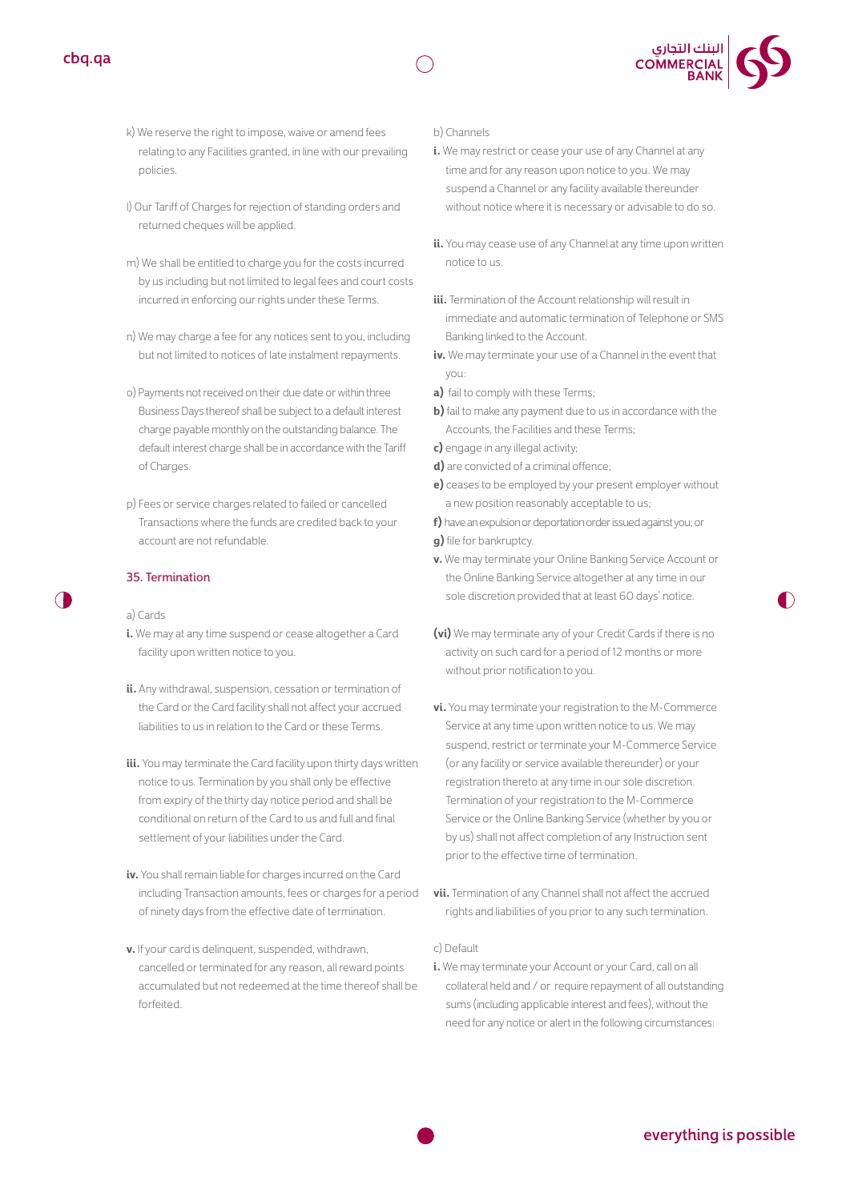



- k) We reserve the right to impose, waive or amend fees relating to any Facilities granted, in line with our prevailing policies.
- l) Our Tariff of Charges for rejection of standing orders and returned cheques will be applied.
- m) We shall be entitled to charge you for the costs incurred by us including but not limited to legal fees and court costs incurred in enforcing our rights under these Terms.
- n) We may charge a fee for any notices sent to you, including but not limited to notices of late instalment repayments.
- o) Payments not received on their due date or within three Business Days thereof shall be subject to a default interest charge payable monthly on the outstanding balance. The default interest charge shall be in accordance with the Tariff of Charges.
- p) Fees or service charges related to failed or cancelled Transactions where the funds are credited back to your account are not refundable.

#### 35. Termination

#### a) Cards

- **i.** We may at any time suspend or cease altogether a Card facility upon written notice to you.
- **ii.** Any withdrawal, suspension, cessation or termination of the Card or the Card facility shall not affect your accrued liabilities to us in relation to the Card or these Terms.
- **iii.** You may terminate the Card facility upon thirty days written notice to us. Termination by you shall only be effective from expiry of the thirty day notice period and shall be conditional on return of the Card to us and full and final settlement of your liabilities under the Card.
- **iv.** You shall remain liable for charges incurred on the Card including Transaction amounts, fees or charges for a period of ninety days from the effective date of termination.
- **v.** If your card is delinquent, suspended, withdrawn, cancelled or terminated for any reason, all reward points accumulated but not redeemed at the time thereof shall be forfeited.

#### b) Channels

- **i.** We may restrict or cease your use of any Channel at any time and for any reason upon notice to you. We may suspend a Channel or any facility available thereunder without notice where it is necessary or advisable to do so.
- **ii.** You may cease use of any Channel at any time upon written notice to us.
- **iii.** Termination of the Account relationship will result in immediate and automatic termination of Telephone or SMS Banking linked to the Account.
- **iv.** We may terminate your use of a Channel in the event that you:
- **a)** fail to comply with these Terms;
- **b)** fail to make any payment due to us in accordance with the Accounts, the Facilities and these Terms;
- **c)** engage in any illegal activity;
- **d)** are convicted of a criminal offence;
- **e)** ceases to be employed by your present employer without a new position reasonably acceptable to us;

**f)** have an expulsion or deportation order issued against you; or **g)** file for bankruptcy.

- **v.** We may terminate your Online Banking Service Account or the Online Banking Service altogether at any time in our sole discretion provided that at least 60 days' notice.
- **(vi)** We may terminate any of your Credit Cards if there is no activity on such card for a period of 12 months or more without prior notification to you.
- **vi.** You may terminate your registration to the M-Commerce Service at any time upon written notice to us. We may suspend, restrict or terminate your M-Commerce Service (or any facility or service available thereunder) or your registration thereto at any time in our sole discretion. Termination of your registration to the M-Commerce Service or the Online Banking Service (whether by you or by us) shall not affect completion of any Instruction sent prior to the effective time of termination.
- **vii.** Termination of any Channel shall not affect the accrued rights and liabilities of you prior to any such termination.

#### c) Default

**i.** We may terminate your Account or your Card, call on all collateral held and / or require repayment of all outstanding sums (including applicable interest and fees), without the need for any notice or alert in the following circumstances:

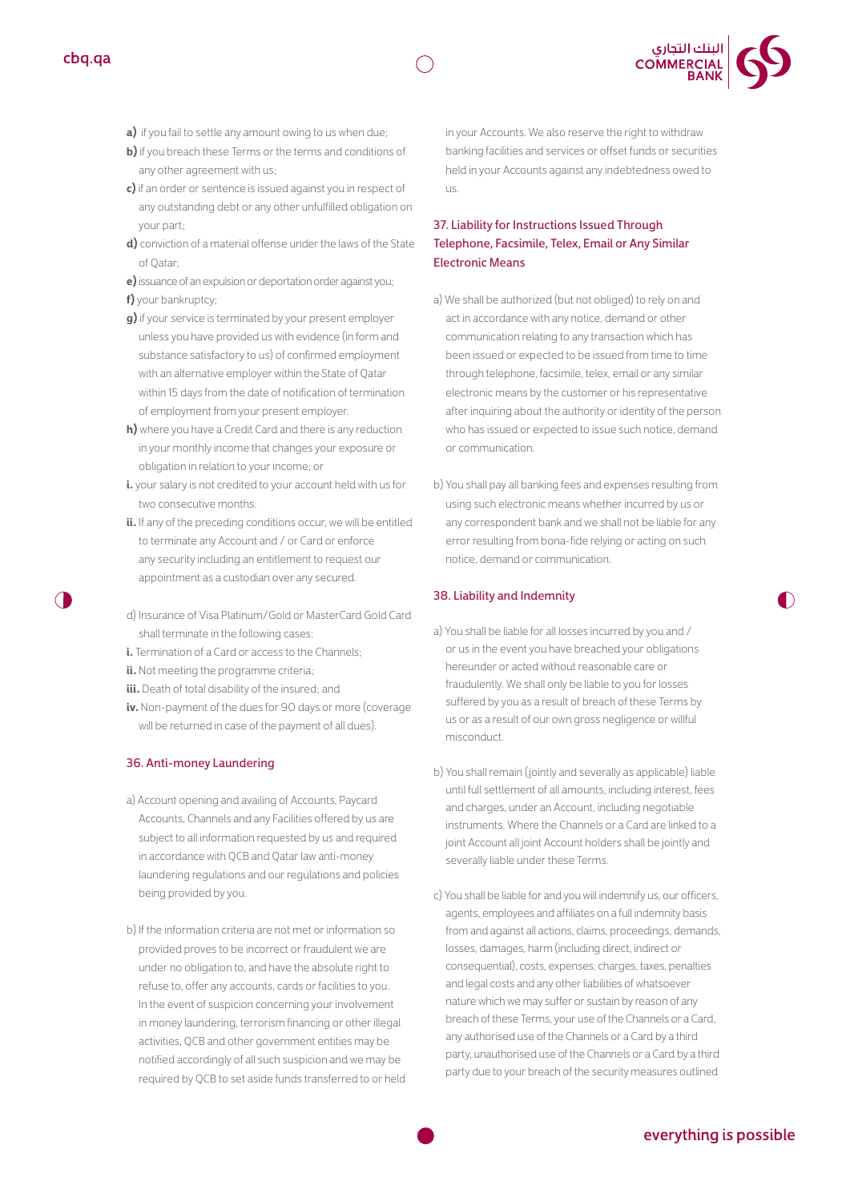

- **a)** if you fail to settle any amount owing to us when due;
- **b)** if you breach these Terms or the terms and conditions of any other agreement with us;
- **c)** if an order or sentence is issued against you in respect of any outstanding debt or any other unfulfilled obligation on your part;
- **d)** conviction of a material offense under the laws of the State of Qatar;
- **e)** issuance of an expulsion or deportation order against you;
- **f)** your bankruptcy;
- **g)** if your service is terminated by your present employer unless you have provided us with evidence (in form and substance satisfactory to us) of confirmed employment with an alternative employer within the State of Qatar within 15 days from the date of notification of termination of employment from your present employer.
- **h)** where you have a Credit Card and there is any reduction in your monthly income that changes your exposure or obligation in relation to your income; or
- **i.** your salary is not credited to your account held with us for two consecutive months.
- ii. If any of the preceding conditions occur, we will be entitled to terminate any Account and / or Card or enforce any security including an entitlement to request our appointment as a custodian over any secured.
- d) Insurance of Visa Platinum/Gold or MasterCard Gold Card shall terminate in the following cases:
- **i.** Termination of a Card or access to the Channels:
- **ii.** Not meeting the programme criteria;
- **iii.** Death of total disability of the insured; and
- **iv.** Non-payment of the dues for 90 days or more (coverage will be returned in case of the payment of all dues).

#### 36. Anti-money Laundering

- a) Account opening and availing of Accounts, Paycard Accounts, Channels and any Facilities offered by us are subject to all information requested by us and required in accordance with QCB and Qatar law anti-money laundering regulations and our regulations and policies being provided by you.
- b) If the information criteria are not met or information so provided proves to be incorrect or fraudulent we are under no obligation to, and have the absolute right to refuse to, offer any accounts, cards or facilities to you. In the event of suspicion concerning your involvement in money laundering, terrorism financing or other illegal activities, QCB and other government entities may be notified accordingly of all such suspicion and we may be required by QCB to set aside funds transferred to or held

in your Accounts. We also reserve the right to withdraw banking facilities and services or offset funds or securities held in your Accounts against any indebtedness owed to  $\overline{115}$ 

### 37. Liability for Instructions Issued Through Telephone, Facsimile, Telex, Email or Any Similar Electronic Means

- a) We shall be authorized (but not obliged) to rely on and act in accordance with any notice, demand or other communication relating to any transaction which has been issued or expected to be issued from time to time through telephone, facsimile, telex, email or any similar electronic means by the customer or his representative after inquiring about the authority or identity of the person who has issued or expected to issue such notice, demand or communication.
- b) You shall pay all banking fees and expenses resulting from using such electronic means whether incurred by us or any correspondent bank and we shall not be liable for any error resulting from bona-fide relying or acting on such notice, demand or communication.

#### 38. Liability and Indemnity

- a) You shall be liable for all losses incurred by you and / or us in the event you have breached your obligations hereunder or acted without reasonable care or fraudulently. We shall only be liable to you for losses suffered by you as a result of breach of these Terms by us or as a result of our own gross negligence or willful misconduct.
- b) You shall remain ( jointly and severally as applicable) liable until full settlement of all amounts, including interest, fees and charges, under an Account, including negotiable instruments. Where the Channels or a Card are linked to a joint Account all joint Account holders shall be jointly and severally liable under these Terms.
- c) You shall be liable for and you will indemnify us, our officers, agents, employees and affiliates on a full indemnity basis from and against all actions, claims, proceedings, demands, losses, damages, harm (including direct, indirect or consequential), costs, expenses, charges, taxes, penalties and legal costs and any other liabilities of whatsoever nature which we may suffer or sustain by reason of any breach of these Terms, your use of the Channels or a Card, any authorised use of the Channels or a Card by a third party, unauthorised use of the Channels or a Card by a third party due to your breach of the security measures outlined

# everything is possible

D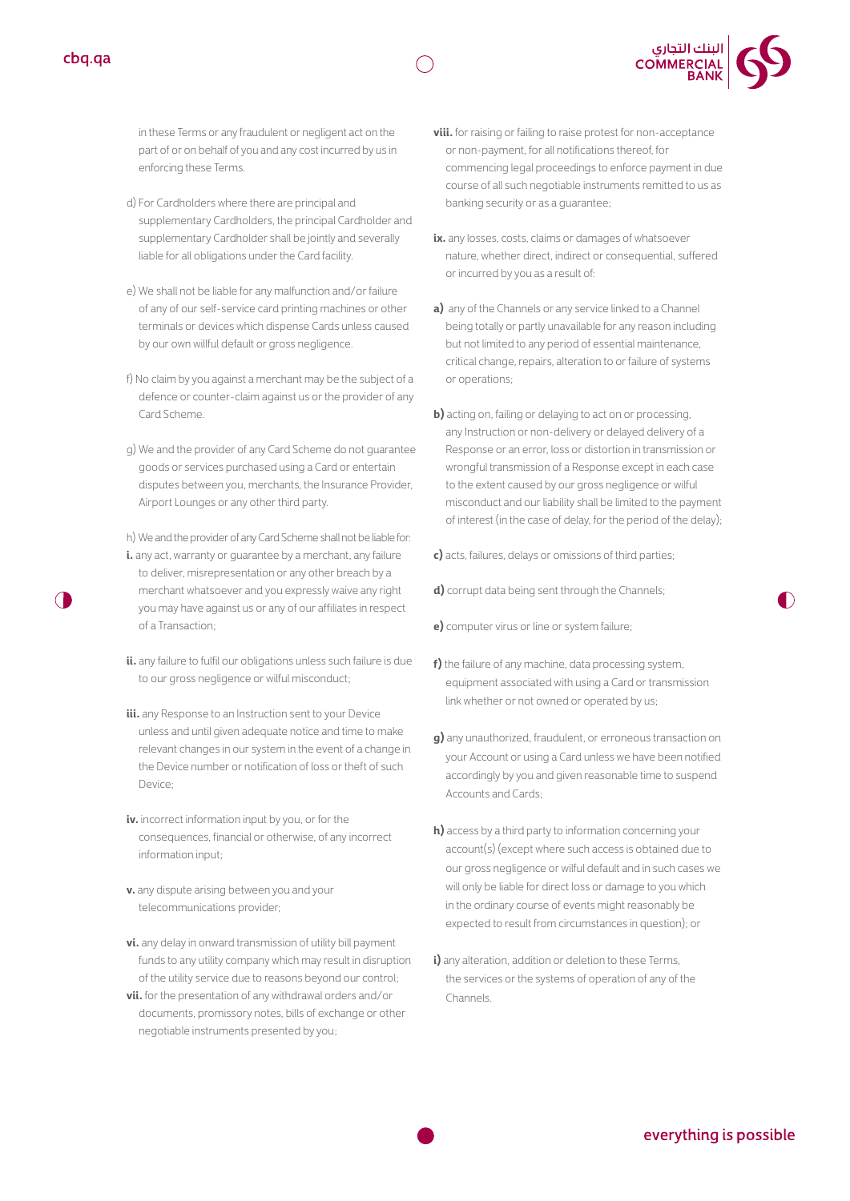



in these Terms or any fraudulent or negligent act on the part of or on behalf of you and any cost incurred by us in enforcing these Terms.

- d) For Cardholders where there are principal and supplementary Cardholders, the principal Cardholder and supplementary Cardholder shall be jointly and severally liable for all obligations under the Card facility.
- e) We shall not be liable for any malfunction and/or failure of any of our self-service card printing machines or other terminals or devices which dispense Cards unless caused by our own willful default or gross negligence.
- f) No claim by you against a merchant may be the subject of a defence or counter-claim against us or the provider of any Card Scheme.
- g) We and the provider of any Card Scheme do not guarantee goods or services purchased using a Card or entertain disputes between you, merchants, the Insurance Provider, Airport Lounges or any other third party.
- h) We and the provider of any Card Scheme shall not be liable for:
- **i.** any act, warranty or quarantee by a merchant, any failure to deliver, misrepresentation or any other breach by a merchant whatsoever and you expressly waive any right you may have against us or any of our affiliates in respect of a Transaction;
- **ii.** any failure to fulfil our obligations unless such failure is due to our gross negligence or wilful misconduct;
- **iii.** any Response to an Instruction sent to your Device unless and until given adequate notice and time to make relevant changes in our system in the event of a change in the Device number or notification of loss or theft of such Device;
- **iv.** incorrect information input by you, or for the consequences, financial or otherwise, of any incorrect information input;
- **v.** any dispute arising between you and your telecommunications provider;
- **vi.** any delay in onward transmission of utility bill payment funds to any utility company which may result in disruption of the utility service due to reasons beyond our control;
- **vii.** for the presentation of any withdrawal orders and/or documents, promissory notes, bills of exchange or other negotiable instruments presented by you;
- **viii.** for raising or failing to raise protest for non-acceptance or non-payment, for all notifications thereof, for commencing legal proceedings to enforce payment in due course of all such negotiable instruments remitted to us as banking security or as a guarantee;
- ix. any losses, costs, claims or damages of whatsoever nature, whether direct, indirect or consequential, suffered or incurred by you as a result of:
- **a)** any of the Channels or any service linked to a Channel being totally or partly unavailable for any reason including but not limited to any period of essential maintenance, critical change, repairs, alteration to or failure of systems or operations;
- **b)** acting on, failing or delaying to act on or processing, any Instruction or non-delivery or delayed delivery of a Response or an error, loss or distortion in transmission or wrongful transmission of a Response except in each case to the extent caused by our gross negligence or wilful misconduct and our liability shall be limited to the payment of interest (in the case of delay, for the period of the delay);
- **c)** acts, failures, delays or omissions of third parties;
- **d)** corrupt data being sent through the Channels;
- **e)** computer virus or line or system failure;
- **f)** the failure of any machine, data processing system, equipment associated with using a Card or transmission link whether or not owned or operated by us;
- **g)** any unauthorized, fraudulent, or erroneous transaction on your Account or using a Card unless we have been notified accordingly by you and given reasonable time to suspend Accounts and Cards;
- **h)** access by a third party to information concerning your account(s) (except where such access is obtained due to our gross negligence or wilful default and in such cases we will only be liable for direct loss or damage to you which in the ordinary course of events might reasonably be expected to result from circumstances in question); or
- **i)** any alteration, addition or deletion to these Terms, the services or the systems of operation of any of the Channels.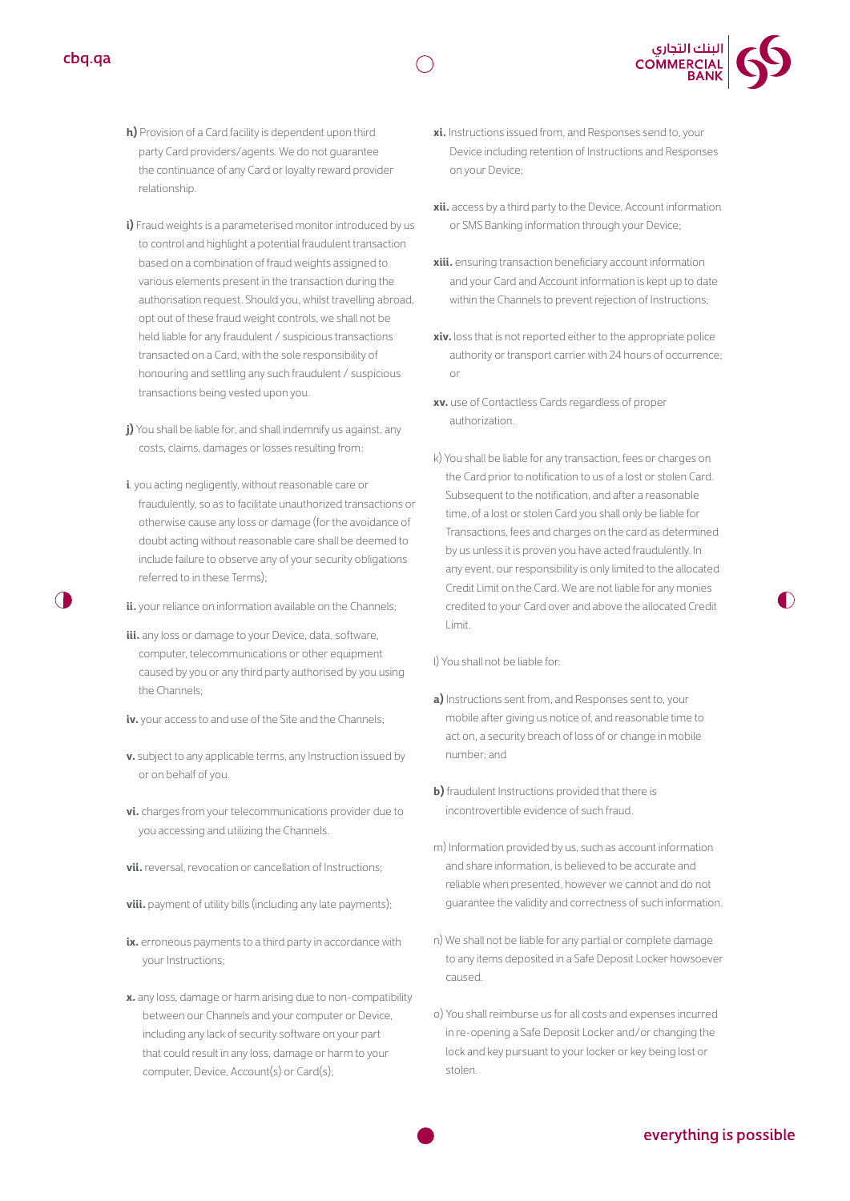- **h)** Provision of a Card facility is dependent upon third party Card providers/agents. We do not guarantee the continuance of any Card or loyalty reward provider relationship.
- **i)** Fraud weights is a parameterised monitor introduced by us to control and highlight a potential fraudulent transaction based on a combination of fraud weights assigned to various elements present in the transaction during the authorisation request. Should you, whilst travelling abroad, opt out of these fraud weight controls, we shall not be held liable for any fraudulent / suspicious transactions transacted on a Card, with the sole responsibility of honouring and settling any such fraudulent / suspicious transactions being vested upon you.
- **i)** You shall be liable for, and shall indemnify us against, any costs, claims, damages or losses resulting from:
- **i**. you acting negligently, without reasonable care or fraudulently, so as to facilitate unauthorized transactions or otherwise cause any loss or damage (for the avoidance of doubt acting without reasonable care shall be deemed to include failure to observe any of your security obligations referred to in these Terms);
- **ii.** your reliance on information available on the Channels;
- **iii.** any loss or damage to your Device, data, software, computer, telecommunications or other equipment caused by you or any third party authorised by you using the Channels;
- **iv.** your access to and use of the Site and the Channels;
- **v.** subject to any applicable terms, any Instruction issued by or on behalf of you.
- **vi.** charges from your telecommunications provider due to you accessing and utilizing the Channels.
- **vii.** reversal, revocation or cancellation of Instructions;
- **viii.** payment of utility bills (including any late payments);
- ix. erroneous payments to a third party in accordance with your Instructions;
- **x.** any loss, damage or harm arising due to non-compatibility between our Channels and your computer or Device, including any lack of security software on your part that could result in any loss, damage or harm to your computer, Device, Account(s) or Card(s);
- **xi.** Instructions issued from, and Responses send to, your Device including retention of Instructions and Responses on your Device;
- **xii.** access by a third party to the Device, Account information or SMS Banking information through your Device;
- **xiii.** ensuring transaction beneficiary account information and your Card and Account information is kept up to date within the Channels to prevent rejection of Instructions;
- **xiv.** loss that is not reported either to the appropriate police authority or transport carrier with 24 hours of occurrence; or
- **xv.** use of Contactless Cards regardless of proper authorization.
- k) You shall be liable for any transaction, fees or charges on the Card prior to notification to us of a lost or stolen Card. Subsequent to the notification, and after a reasonable time, of a lost or stolen Card you shall only be liable for Transactions, fees and charges on the card as determined by us unless it is proven you have acted fraudulently. In any event, our responsibility is only limited to the allocated Credit Limit on the Card. We are not liable for any monies credited to your Card over and above the allocated Credit Limit.

l) You shall not be liable for:

- **a)** Instructions sent from, and Responses sent to, your mobile after giving us notice of, and reasonable time to act on, a security breach of loss of or change in mobile number; and
- **b)** fraudulent Instructions provided that there is incontrovertible evidence of such fraud.
- m) Information provided by us, such as account information and share information, is believed to be accurate and reliable when presented, however we cannot and do not guarantee the validity and correctness of such information.
- n) We shall not be liable for any partial or complete damage to any items deposited in a Safe Deposit Locker howsoever caused.
- o) You shall reimburse us for all costs and expenses incurred in re-opening a Safe Deposit Locker and/or changing the lock and key pursuant to your locker or key being lost or stolen.